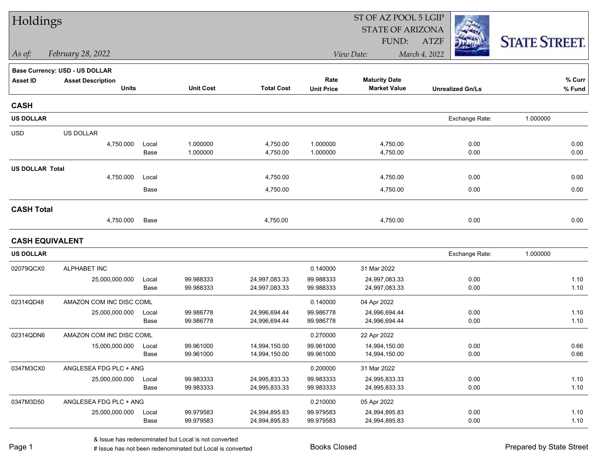| Holdings               |                                |       |                  |                   | ST OF AZ POOL 5 LGIP |                         |                         |                      |  |  |
|------------------------|--------------------------------|-------|------------------|-------------------|----------------------|-------------------------|-------------------------|----------------------|--|--|
|                        |                                |       |                  |                   |                      | <b>STATE OF ARIZONA</b> |                         |                      |  |  |
|                        |                                |       |                  |                   |                      | FUND:                   | <b>ATZF</b>             | <b>STATE STREET.</b> |  |  |
| As of:                 | February 28, 2022              |       |                  |                   |                      | View Date:              | March 4, 2022           |                      |  |  |
|                        | Base Currency: USD - US DOLLAR |       |                  |                   |                      |                         |                         |                      |  |  |
| <b>Asset ID</b>        | <b>Asset Description</b>       |       |                  |                   | Rate                 | <b>Maturity Date</b>    |                         | % Curr               |  |  |
|                        | <b>Units</b>                   |       | <b>Unit Cost</b> | <b>Total Cost</b> | <b>Unit Price</b>    | <b>Market Value</b>     | <b>Unrealized Gn/Ls</b> | % Fund               |  |  |
| <b>CASH</b>            |                                |       |                  |                   |                      |                         |                         |                      |  |  |
| <b>US DOLLAR</b>       |                                |       |                  |                   |                      |                         | Exchange Rate:          | 1.000000             |  |  |
| <b>USD</b>             | US DOLLAR                      |       |                  |                   |                      |                         |                         |                      |  |  |
|                        | 4,750.000                      | Local | 1.000000         | 4,750.00          | 1.000000             | 4,750.00                | 0.00                    | 0.00                 |  |  |
|                        |                                | Base  | 1.000000         | 4,750.00          | 1.000000             | 4,750.00                | 0.00                    | 0.00                 |  |  |
| <b>US DOLLAR Total</b> |                                |       |                  |                   |                      |                         |                         |                      |  |  |
|                        | 4,750.000                      | Local |                  | 4,750.00          |                      | 4,750.00                | 0.00                    | 0.00                 |  |  |
|                        |                                | Base  |                  | 4,750.00          |                      | 4,750.00                | 0.00                    | 0.00                 |  |  |
| <b>CASH Total</b>      |                                |       |                  |                   |                      |                         |                         |                      |  |  |
|                        | 4,750.000                      | Base  |                  | 4,750.00          |                      | 4,750.00                | 0.00                    | 0.00                 |  |  |
| <b>CASH EQUIVALENT</b> |                                |       |                  |                   |                      |                         |                         |                      |  |  |
| <b>US DOLLAR</b>       |                                |       |                  |                   |                      |                         | Exchange Rate:          | 1.000000             |  |  |
| 02079QCX0              | ALPHABET INC                   |       |                  |                   | 0.140000             | 31 Mar 2022             |                         |                      |  |  |
|                        | 25,000,000.000                 | Local | 99.988333        | 24,997,083.33     | 99.988333            | 24,997,083.33           | 0.00                    | 1.10                 |  |  |
|                        |                                | Base  | 99.988333        | 24,997,083.33     | 99.988333            | 24,997,083.33           | 0.00                    | 1.10                 |  |  |
| 02314QD48              | AMAZON COM INC DISC COML       |       |                  |                   | 0.140000             | 04 Apr 2022             |                         |                      |  |  |
|                        | 25,000,000.000                 | Local | 99.986778        | 24,996,694.44     | 99.986778            | 24,996,694.44           | 0.00                    | 1.10                 |  |  |
|                        |                                | Base  | 99.986778        | 24,996,694.44     | 99.986778            | 24,996,694.44           | 0.00                    | 1.10                 |  |  |
| 02314QDN6              | AMAZON COM INC DISC COML       |       |                  |                   | 0.270000             | 22 Apr 2022             |                         |                      |  |  |
|                        | 15,000,000.000                 | Local | 99.961000        | 14,994,150.00     | 99.961000            | 14,994,150.00           | 0.00                    | 0.66                 |  |  |
|                        |                                | Base  | 99.961000        | 14,994,150.00     | 99.961000            | 14,994,150.00           | 0.00                    | 0.66                 |  |  |
| 0347M3CX0              | ANGLESEA FDG PLC + ANG         |       |                  |                   | 0.200000             | 31 Mar 2022             |                         |                      |  |  |
|                        | 25,000,000.000                 | Local | 99.983333        | 24,995,833.33     | 99.983333            | 24,995,833.33           | 0.00                    | 1.10                 |  |  |
|                        |                                | Base  | 99.983333        | 24,995,833.33     | 99.983333            | 24,995,833.33           | 0.00                    | 1.10                 |  |  |
| 0347M3D50              | ANGLESEA FDG PLC + ANG         |       |                  |                   | 0.210000             | 05 Apr 2022             |                         |                      |  |  |
|                        | 25,000,000.000                 | Local | 99.979583        | 24,994,895.83     | 99.979583            | 24,994,895.83           | 0.00                    | 1.10                 |  |  |
|                        |                                | Base  | 99.979583        | 24,994,895.83     | 99.979583            | 24,994,895.83           | 0.00                    | 1.10                 |  |  |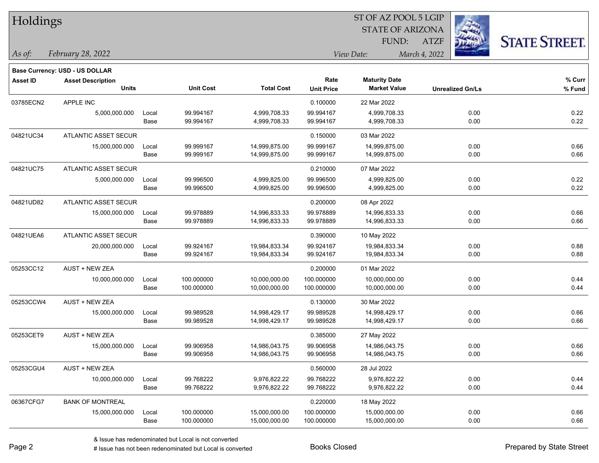| Holdings        |                                       |       |                  |                   | ST OF AZ POOL 5 LGIP<br><b>STATE OF ARIZONA</b> |                      |                              |                      |  |  |
|-----------------|---------------------------------------|-------|------------------|-------------------|-------------------------------------------------|----------------------|------------------------------|----------------------|--|--|
|                 |                                       |       |                  |                   |                                                 | FUND:                |                              |                      |  |  |
| As of:          | February 28, 2022                     |       |                  |                   |                                                 | View Date:           | <b>ATZF</b><br>March 4, 2022 | <b>STATE STREET.</b> |  |  |
|                 | <b>Base Currency: USD - US DOLLAR</b> |       |                  |                   |                                                 |                      |                              |                      |  |  |
| <b>Asset ID</b> | <b>Asset Description</b>              |       |                  |                   | Rate                                            | <b>Maturity Date</b> |                              | % Curr               |  |  |
|                 | <b>Units</b>                          |       | <b>Unit Cost</b> | <b>Total Cost</b> | <b>Unit Price</b>                               | <b>Market Value</b>  | <b>Unrealized Gn/Ls</b>      | % Fund               |  |  |
| 03785ECN2       | APPLE INC                             |       |                  |                   | 0.100000                                        | 22 Mar 2022          |                              |                      |  |  |
|                 | 5,000,000.000                         | Local | 99.994167        | 4,999,708.33      | 99.994167                                       | 4,999,708.33         | 0.00                         | 0.22                 |  |  |
|                 |                                       | Base  | 99.994167        | 4,999,708.33      | 99.994167                                       | 4,999,708.33         | 0.00                         | 0.22                 |  |  |
| 04821UC34       | ATLANTIC ASSET SECUR                  |       |                  |                   | 0.150000                                        | 03 Mar 2022          |                              |                      |  |  |
|                 | 15,000,000.000                        | Local | 99.999167        | 14,999,875.00     | 99.999167                                       | 14,999,875.00        | 0.00                         | 0.66                 |  |  |
|                 |                                       | Base  | 99.999167        | 14,999,875.00     | 99.999167                                       | 14,999,875.00        | 0.00                         | 0.66                 |  |  |
| 04821UC75       | ATLANTIC ASSET SECUR                  |       |                  |                   | 0.210000                                        | 07 Mar 2022          |                              |                      |  |  |
|                 | 5,000,000.000                         | Local | 99.996500        | 4,999,825.00      | 99.996500                                       | 4,999,825.00         | 0.00                         | 0.22                 |  |  |
|                 |                                       | Base  | 99.996500        | 4,999,825.00      | 99.996500                                       | 4,999,825.00         | 0.00                         | 0.22                 |  |  |
| 04821UD82       | <b>ATLANTIC ASSET SECUR</b>           |       |                  |                   | 0.200000                                        | 08 Apr 2022          |                              |                      |  |  |
|                 | 15,000,000.000                        | Local | 99.978889        | 14,996,833.33     | 99.978889                                       | 14,996,833.33        | 0.00                         | 0.66                 |  |  |
|                 |                                       | Base  | 99.978889        | 14,996,833.33     | 99.978889                                       | 14,996,833.33        | 0.00                         | 0.66                 |  |  |
| 04821UEA6       | ATLANTIC ASSET SECUR                  |       |                  |                   | 0.390000                                        | 10 May 2022          |                              |                      |  |  |
|                 | 20,000,000.000                        | Local | 99.924167        | 19,984,833.34     | 99.924167                                       | 19,984,833.34        | 0.00                         | 0.88                 |  |  |
|                 |                                       | Base  | 99.924167        | 19,984,833.34     | 99.924167                                       | 19,984,833.34        | 0.00                         | 0.88                 |  |  |
| 05253CC12       | AUST + NEW ZEA                        |       |                  |                   | 0.200000                                        | 01 Mar 2022          |                              |                      |  |  |
|                 | 10,000,000.000                        | Local | 100.000000       | 10,000,000.00     | 100.000000                                      | 10,000,000.00        | 0.00                         | 0.44                 |  |  |
|                 |                                       | Base  | 100.000000       | 10,000,000.00     | 100.000000                                      | 10,000,000.00        | 0.00                         | 0.44                 |  |  |
| 05253CCW4       | <b>AUST + NEW ZEA</b>                 |       |                  |                   | 0.130000                                        | 30 Mar 2022          |                              |                      |  |  |
|                 | 15,000,000.000                        | Local | 99.989528        | 14,998,429.17     | 99.989528                                       | 14,998,429.17        | 0.00                         | 0.66                 |  |  |
|                 |                                       | Base  | 99.989528        | 14,998,429.17     | 99.989528                                       | 14,998,429.17        | 0.00                         | 0.66                 |  |  |
| 05253CET9       | <b>AUST + NEW ZEA</b>                 |       |                  |                   | 0.385000                                        | 27 May 2022          |                              |                      |  |  |
|                 | 15,000,000.000                        | Local | 99.906958        | 14,986,043.75     | 99.906958                                       | 14,986,043.75        | 0.00                         | 0.66                 |  |  |
|                 |                                       | Base  | 99.906958        | 14,986,043.75     | 99.906958                                       | 14,986,043.75        | 0.00                         | 0.66                 |  |  |
| 05253CGU4       | AUST + NEW ZEA                        |       |                  |                   | 0.560000                                        | 28 Jul 2022          |                              |                      |  |  |
|                 | 10,000,000.000                        | Local | 99.768222        | 9,976,822.22      | 99.768222                                       | 9,976,822.22         | 0.00                         | 0.44                 |  |  |
|                 |                                       | Base  | 99.768222        | 9,976,822.22      | 99.768222                                       | 9,976,822.22         | 0.00                         | 0.44                 |  |  |
| 06367CFG7       | <b>BANK OF MONTREAL</b>               |       |                  |                   | 0.220000                                        | 18 May 2022          |                              |                      |  |  |
|                 | 15,000,000.000                        | Local | 100.000000       | 15,000,000.00     | 100.000000                                      | 15,000,000.00        | 0.00                         | 0.66                 |  |  |
|                 |                                       | Base  | 100.000000       | 15,000,000.00     | 100.000000                                      | 15,000,000.00        | 0.00                         | 0.66                 |  |  |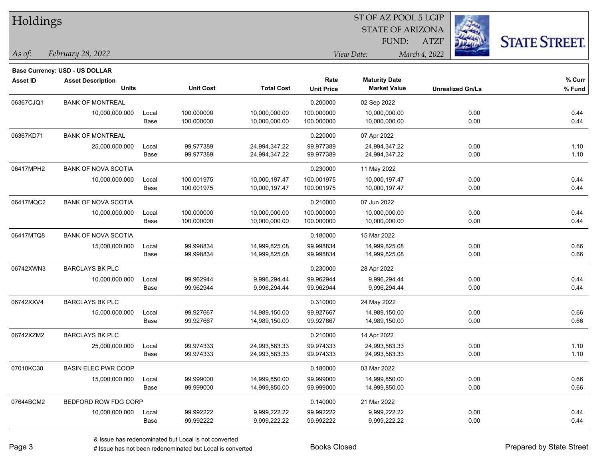| <b>Holdings</b> |                                          |       |                  |                   |                           | 51 OF AZ POOL 5 LGIP<br><b>STATE OF ARIZONA</b><br>FUND: | <b>ATZF</b>             | <b>STATE STREET.</b> |
|-----------------|------------------------------------------|-------|------------------|-------------------|---------------------------|----------------------------------------------------------|-------------------------|----------------------|
| As of:          | February 28, 2022                        |       |                  |                   |                           | View Date:                                               | March 4, 2022           |                      |
|                 | <b>Base Currency: USD - US DOLLAR</b>    |       |                  |                   |                           |                                                          |                         |                      |
| Asset ID        | <b>Asset Description</b><br><b>Units</b> |       | <b>Unit Cost</b> | <b>Total Cost</b> | Rate<br><b>Unit Price</b> | <b>Maturity Date</b><br><b>Market Value</b>              | <b>Unrealized Gn/Ls</b> | % Curr<br>% Fund     |
| 06367CJQ1       | <b>BANK OF MONTREAL</b>                  |       |                  |                   | 0.200000                  | 02 Sep 2022                                              |                         |                      |
|                 | 10,000,000.000                           | Local | 100.000000       | 10,000,000.00     | 100.000000                | 10,000,000.00                                            | 0.00                    | 0.44                 |
|                 |                                          | Base  | 100.000000       | 10,000,000.00     | 100.000000                | 10,000,000.00                                            | 0.00                    | 0.44                 |
| 06367KD71       | <b>BANK OF MONTREAL</b>                  |       |                  |                   | 0.220000                  | 07 Apr 2022                                              |                         |                      |
|                 | 25,000,000.000                           | Local | 99.977389        | 24,994,347.22     | 99.977389                 | 24,994,347.22                                            | 0.00                    | 1.10                 |
|                 |                                          | Base  | 99.977389        | 24,994,347.22     | 99.977389                 | 24,994,347.22                                            | 0.00                    | 1.10                 |
| 06417MPH2       | <b>BANK OF NOVA SCOTIA</b>               |       |                  |                   | 0.230000                  | 11 May 2022                                              |                         |                      |
|                 | 10,000,000.000                           | Local | 100.001975       | 10,000,197.47     | 100.001975                | 10,000,197.47                                            | 0.00                    | 0.44                 |
|                 |                                          | Base  | 100.001975       | 10,000,197.47     | 100.001975                | 10,000,197.47                                            | 0.00                    | 0.44                 |
| 06417MQC2       | <b>BANK OF NOVA SCOTIA</b>               |       |                  |                   | 0.210000                  | 07 Jun 2022                                              |                         |                      |
|                 | 10,000,000.000                           | Local | 100.000000       | 10,000,000.00     | 100.000000                | 10,000,000.00                                            | 0.00                    | 0.44                 |
|                 |                                          | Base  | 100.000000       | 10,000,000.00     | 100.000000                | 10,000,000.00                                            | 0.00                    | 0.44                 |
| 06417MTQ8       | <b>BANK OF NOVA SCOTIA</b>               |       |                  |                   | 0.180000                  | 15 Mar 2022                                              |                         |                      |
|                 | 15,000,000.000                           | Local | 99.998834        | 14,999,825.08     | 99.998834                 | 14,999,825.08                                            | 0.00                    | 0.66                 |
|                 |                                          | Base  | 99.998834        | 14,999,825.08     | 99.998834                 | 14,999,825.08                                            | 0.00                    | 0.66                 |
| 06742XWN3       | <b>BARCLAYS BK PLC</b>                   |       |                  |                   | 0.230000                  | 28 Apr 2022                                              |                         |                      |
|                 | 10,000,000.000                           | Local | 99.962944        | 9,996,294.44      | 99.962944                 | 9,996,294.44                                             | 0.00                    | 0.44                 |
|                 |                                          | Base  | 99.962944        | 9,996,294.44      | 99.962944                 | 9,996,294.44                                             | 0.00                    | 0.44                 |
| 06742XXV4       | <b>BARCLAYS BK PLC</b>                   |       |                  |                   | 0.310000                  | 24 May 2022                                              |                         |                      |
|                 | 15,000,000.000                           | Local | 99.927667        | 14,989,150.00     | 99.927667                 | 14,989,150.00                                            | 0.00                    | 0.66                 |
|                 |                                          | Base  | 99.927667        | 14,989,150.00     | 99.927667                 | 14,989,150.00                                            | 0.00                    | 0.66                 |
| 06742XZM2       | <b>BARCLAYS BK PLC</b>                   |       |                  |                   | 0.210000                  | 14 Apr 2022                                              |                         |                      |
|                 | 25,000,000.000                           | Local | 99.974333        | 24,993,583.33     | 99.974333                 | 24,993,583.33                                            | 0.00                    | 1.10                 |
|                 |                                          | Base  | 99.974333        | 24,993,583.33     | 99.974333                 | 24,993,583.33                                            | 0.00                    | 1.10                 |
| 07010KC30       | <b>BASIN ELEC PWR COOP</b>               |       |                  |                   | 0.180000                  | 03 Mar 2022                                              |                         |                      |
|                 | 15,000,000.000                           | Local | 99.999000        | 14,999,850.00     | 99.999000                 | 14,999,850.00                                            | 0.00                    | 0.66                 |
|                 |                                          | Base  | 99.999000        | 14,999,850.00     | 99.999000                 | 14,999,850.00                                            | 0.00                    | 0.66                 |
| 07644BCM2       | BEDFORD ROW FDG CORP                     |       |                  |                   | 0.140000                  | 21 Mar 2022                                              |                         |                      |
|                 | 10,000,000.000                           | Local | 99.992222        | 9,999,222.22      | 99.992222                 | 9,999,222.22                                             | 0.00                    | 0.44                 |
|                 |                                          | Base  | 99.992222        | 9,999,222.22      | 99.992222                 | 9,999,222.22                                             | 0.00                    | 0.44                 |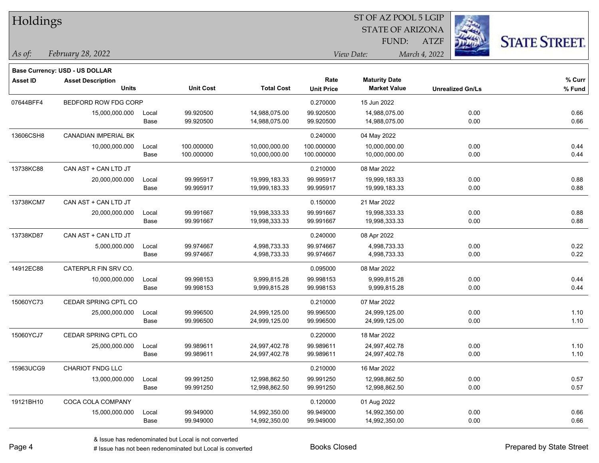| <b>Holdings</b> |                                       |       |                  |                   | 51 OF AZ POOL 5 LGIP |                         |                         |                     |  |  |
|-----------------|---------------------------------------|-------|------------------|-------------------|----------------------|-------------------------|-------------------------|---------------------|--|--|
|                 |                                       |       |                  |                   |                      | <b>STATE OF ARIZONA</b> |                         |                     |  |  |
|                 |                                       |       |                  |                   |                      | FUND:                   | <b>ATZF</b>             | <b>STATE STREET</b> |  |  |
| As of:          | February 28, 2022                     |       |                  |                   |                      | View Date:              | March 4, 2022           |                     |  |  |
|                 | <b>Base Currency: USD - US DOLLAR</b> |       |                  |                   |                      |                         |                         |                     |  |  |
| <b>Asset ID</b> | <b>Asset Description</b>              |       |                  |                   | Rate                 | <b>Maturity Date</b>    |                         | % Curr              |  |  |
|                 | <b>Units</b>                          |       | <b>Unit Cost</b> | <b>Total Cost</b> | <b>Unit Price</b>    | <b>Market Value</b>     | <b>Unrealized Gn/Ls</b> | % Fund              |  |  |
| 07644BFF4       | BEDFORD ROW FDG CORP                  |       |                  |                   | 0.270000             | 15 Jun 2022             |                         |                     |  |  |
|                 | 15,000,000.000                        | Local | 99.920500        | 14,988,075.00     | 99.920500            | 14,988,075.00           | 0.00                    | 0.66                |  |  |
|                 |                                       | Base  | 99.920500        | 14,988,075.00     | 99.920500            | 14,988,075.00           | 0.00                    | 0.66                |  |  |
| 13606CSH8       | CANADIAN IMPERIAL BK                  |       |                  |                   | 0.240000             | 04 May 2022             |                         |                     |  |  |
|                 | 10,000,000.000                        | Local | 100.000000       | 10,000,000.00     | 100.000000           | 10,000,000.00           | 0.00                    | 0.44                |  |  |
|                 |                                       | Base  | 100.000000       | 10,000,000.00     | 100.000000           | 10,000,000.00           | 0.00                    | 0.44                |  |  |
| 13738KC88       | CAN AST + CAN LTD JT                  |       |                  |                   | 0.210000             | 08 Mar 2022             |                         |                     |  |  |
|                 | 20,000,000.000                        | Local | 99.995917        | 19,999,183.33     | 99.995917            | 19,999,183.33           | 0.00                    | 0.88                |  |  |
|                 |                                       | Base  | 99.995917        | 19,999,183.33     | 99.995917            | 19,999,183.33           | 0.00                    | 0.88                |  |  |
| 13738KCM7       | CAN AST + CAN LTD JT                  |       |                  |                   | 0.150000             | 21 Mar 2022             |                         |                     |  |  |
|                 | 20,000,000.000                        | Local | 99.991667        | 19,998,333.33     | 99.991667            | 19,998,333.33           | 0.00                    | 0.88                |  |  |
|                 |                                       | Base  | 99.991667        | 19,998,333.33     | 99.991667            | 19,998,333.33           | 0.00                    | 0.88                |  |  |
| 13738KD87       | CAN AST + CAN LTD JT                  |       |                  |                   | 0.240000             | 08 Apr 2022             |                         |                     |  |  |
|                 | 5,000,000.000                         | Local | 99.974667        | 4,998,733.33      | 99.974667            | 4,998,733.33            | 0.00                    | 0.22                |  |  |
|                 |                                       | Base  | 99.974667        | 4,998,733.33      | 99.974667            | 4,998,733.33            | 0.00                    | 0.22                |  |  |
| 14912EC88       | CATERPLR FIN SRV CO.                  |       |                  |                   | 0.095000             | 08 Mar 2022             |                         |                     |  |  |
|                 | 10,000,000.000                        | Local | 99.998153        | 9,999,815.28      | 99.998153            | 9,999,815.28            | 0.00                    | 0.44                |  |  |
|                 |                                       | Base  | 99.998153        | 9,999,815.28      | 99.998153            | 9,999,815.28            | 0.00                    | 0.44                |  |  |
| 15060YC73       | CEDAR SPRING CPTL CO                  |       |                  |                   | 0.210000             | 07 Mar 2022             |                         |                     |  |  |
|                 | 25,000,000.000                        | Local | 99.996500        | 24,999,125.00     | 99.996500            | 24,999,125.00           | 0.00                    | 1.10                |  |  |
|                 |                                       | Base  | 99.996500        | 24,999,125.00     | 99.996500            | 24,999,125.00           | 0.00                    | 1.10                |  |  |
| 15060YCJ7       | CEDAR SPRING CPTL CO                  |       |                  |                   | 0.220000             | 18 Mar 2022             |                         |                     |  |  |
|                 | 25,000,000.000                        | Local | 99.989611        | 24,997,402.78     | 99.989611            | 24,997,402.78           | 0.00                    | 1.10                |  |  |
|                 |                                       | Base  | 99.989611        | 24,997,402.78     | 99.989611            | 24,997,402.78           | 0.00                    | 1.10                |  |  |
| 15963UCG9       | CHARIOT FNDG LLC                      |       |                  |                   | 0.210000             | 16 Mar 2022             |                         |                     |  |  |
|                 | 13,000,000.000                        | Local | 99.991250        | 12,998,862.50     | 99.991250            | 12,998,862.50           | 0.00                    | 0.57                |  |  |
|                 |                                       | Base  | 99.991250        | 12,998,862.50     | 99.991250            | 12,998,862.50           | 0.00                    | 0.57                |  |  |
| 19121BH10       | COCA COLA COMPANY                     |       |                  |                   | 0.120000             | 01 Aug 2022             |                         |                     |  |  |
|                 | 15,000,000.000                        | Local | 99.949000        | 14,992,350.00     | 99.949000            | 14,992,350.00           | 0.00                    | 0.66                |  |  |
|                 |                                       | Base  | 99.949000        | 14,992,350.00     | 99.949000            | 14,992,350.00           | 0.00                    | 0.66                |  |  |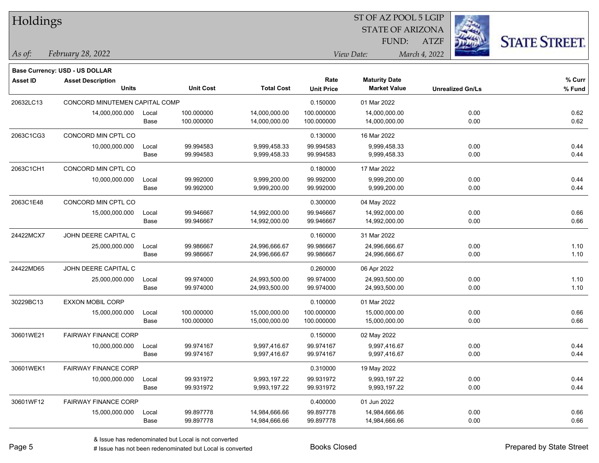| Holdings        |                                |       |                  |                   |                   | 51 OF AZ POOL 5 LGIP    |                         |                      |
|-----------------|--------------------------------|-------|------------------|-------------------|-------------------|-------------------------|-------------------------|----------------------|
|                 |                                |       |                  |                   |                   | <b>STATE OF ARIZONA</b> |                         |                      |
|                 |                                |       |                  |                   |                   | FUND:                   | <b>ATZF</b>             | <b>STATE STREET.</b> |
| As of:          | February 28, 2022              |       |                  |                   |                   | View Date:              | March 4, 2022           |                      |
|                 | Base Currency: USD - US DOLLAR |       |                  |                   |                   |                         |                         |                      |
| <b>Asset ID</b> | <b>Asset Description</b>       |       |                  |                   | Rate              | <b>Maturity Date</b>    |                         | % Curr               |
|                 | <b>Units</b>                   |       | <b>Unit Cost</b> | <b>Total Cost</b> | <b>Unit Price</b> | <b>Market Value</b>     | <b>Unrealized Gn/Ls</b> | % Fund               |
| 20632LC13       | CONCORD MINUTEMEN CAPITAL COMP |       |                  |                   | 0.150000          | 01 Mar 2022             |                         |                      |
|                 | 14,000,000.000                 | Local | 100.000000       | 14,000,000.00     | 100.000000        | 14,000,000.00           | 0.00                    | 0.62                 |
|                 |                                | Base  | 100.000000       | 14,000,000.00     | 100.000000        | 14,000,000.00           | 0.00                    | 0.62                 |
| 2063C1CG3       | CONCORD MIN CPTL CO            |       |                  |                   | 0.130000          | 16 Mar 2022             |                         |                      |
|                 | 10,000,000.000                 | Local | 99.994583        | 9,999,458.33      | 99.994583         | 9,999,458.33            | 0.00                    | 0.44                 |
|                 |                                | Base  | 99.994583        | 9,999,458.33      | 99.994583         | 9,999,458.33            | 0.00                    | 0.44                 |
| 2063C1CH1       | CONCORD MIN CPTL CO            |       |                  |                   | 0.180000          | 17 Mar 2022             |                         |                      |
|                 | 10,000,000.000                 | Local | 99.992000        | 9,999,200.00      | 99.992000         | 9,999,200.00            | 0.00                    | 0.44                 |
|                 |                                | Base  | 99.992000        | 9,999,200.00      | 99.992000         | 9,999,200.00            | 0.00                    | 0.44                 |
| 2063C1E48       | CONCORD MIN CPTL CO            |       |                  |                   | 0.300000          | 04 May 2022             |                         |                      |
|                 | 15,000,000.000                 | Local | 99.946667        | 14,992,000.00     | 99.946667         | 14,992,000.00           | 0.00                    | 0.66                 |
|                 |                                | Base  | 99.946667        | 14,992,000.00     | 99.946667         | 14,992,000.00           | 0.00                    | 0.66                 |
| 24422MCX7       | JOHN DEERE CAPITAL C           |       |                  |                   | 0.160000          | 31 Mar 2022             |                         |                      |
|                 | 25,000,000.000                 | Local | 99.986667        | 24,996,666.67     | 99.986667         | 24,996,666.67           | 0.00                    | 1.10                 |
|                 |                                | Base  | 99.986667        | 24,996,666.67     | 99.986667         | 24,996,666.67           | 0.00                    | 1.10                 |
| 24422MD65       | JOHN DEERE CAPITAL C           |       |                  |                   | 0.260000          | 06 Apr 2022             |                         |                      |
|                 | 25,000,000.000                 | Local | 99.974000        | 24,993,500.00     | 99.974000         | 24,993,500.00           | 0.00                    | 1.10                 |
|                 |                                | Base  | 99.974000        | 24,993,500.00     | 99.974000         | 24,993,500.00           | 0.00                    | 1.10                 |
| 30229BC13       | EXXON MOBIL CORP               |       |                  |                   | 0.100000          | 01 Mar 2022             |                         |                      |
|                 | 15,000,000.000                 | Local | 100.000000       | 15,000,000.00     | 100.000000        | 15,000,000.00           | 0.00                    | 0.66                 |
|                 |                                | Base  | 100.000000       | 15,000,000.00     | 100.000000        | 15,000,000.00           | 0.00                    | 0.66                 |
| 30601WE21       | <b>FAIRWAY FINANCE CORP</b>    |       |                  |                   | 0.150000          | 02 May 2022             |                         |                      |
|                 | 10,000,000.000                 | Local | 99.974167        | 9,997,416.67      | 99.974167         | 9,997,416.67            | 0.00                    | 0.44                 |
|                 |                                | Base  | 99.974167        | 9,997,416.67      | 99.974167         | 9,997,416.67            | 0.00                    | 0.44                 |
| 30601WEK1       | <b>FAIRWAY FINANCE CORP</b>    |       |                  |                   | 0.310000          | 19 May 2022             |                         |                      |
|                 | 10,000,000.000                 | Local | 99.931972        | 9,993,197.22      | 99.931972         | 9,993,197.22            | 0.00                    | 0.44                 |
|                 |                                | Base  | 99.931972        | 9,993,197.22      | 99.931972         | 9,993,197.22            | 0.00                    | 0.44                 |
| 30601WF12       | <b>FAIRWAY FINANCE CORP</b>    |       |                  |                   | 0.400000          | 01 Jun 2022             |                         |                      |
|                 | 15,000,000.000                 | Local | 99.897778        | 14,984,666.66     | 99.897778         | 14,984,666.66           | 0.00                    | 0.66                 |
|                 |                                | Base  | 99.897778        | 14,984,666.66     | 99.897778         | 14,984,666.66           | 0.00                    | 0.66                 |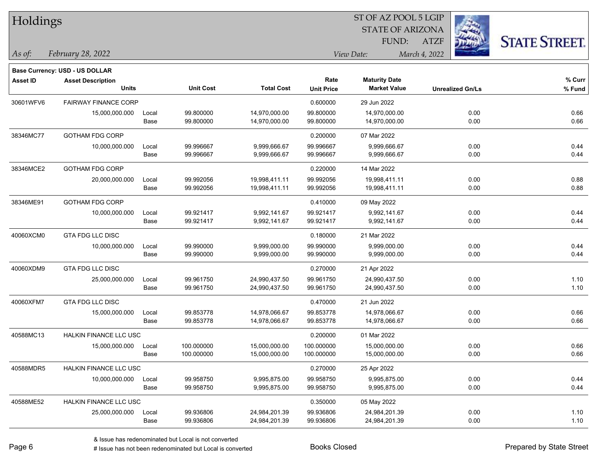| Holdings        |                                          |       |                  |                   |                   | ST OF AZ POOL 5 LGIP    |               |                         |                      |
|-----------------|------------------------------------------|-------|------------------|-------------------|-------------------|-------------------------|---------------|-------------------------|----------------------|
|                 |                                          |       |                  |                   |                   | <b>STATE OF ARIZONA</b> |               |                         |                      |
|                 |                                          |       |                  |                   |                   | FUND:                   | <b>ATZF</b>   |                         | <b>STATE STREET.</b> |
| $\vert$ As of:  | February 28, 2022                        |       |                  |                   |                   | View Date:              | March 4, 2022 |                         |                      |
|                 |                                          |       |                  |                   |                   |                         |               |                         |                      |
|                 | Base Currency: USD - US DOLLAR           |       |                  |                   | Rate              | <b>Maturity Date</b>    |               |                         | % Curr               |
| <b>Asset ID</b> | <b>Asset Description</b><br><b>Units</b> |       | <b>Unit Cost</b> | <b>Total Cost</b> | <b>Unit Price</b> | <b>Market Value</b>     |               | <b>Unrealized Gn/Ls</b> | % Fund               |
| 30601WFV6       | <b>FAIRWAY FINANCE CORP</b>              |       |                  |                   | 0.600000          | 29 Jun 2022             |               |                         |                      |
|                 | 15,000,000.000                           | Local | 99.800000        | 14,970,000.00     | 99.800000         | 14,970,000.00           |               | 0.00                    | 0.66                 |
|                 |                                          | Base  | 99.800000        | 14,970,000.00     | 99.800000         | 14,970,000.00           |               | 0.00                    | 0.66                 |
| 38346MC77       | <b>GOTHAM FDG CORP</b>                   |       |                  |                   | 0.200000          | 07 Mar 2022             |               |                         |                      |
|                 | 10,000,000.000                           | Local | 99.996667        | 9,999,666.67      | 99.996667         | 9,999,666.67            |               | 0.00                    | 0.44                 |
|                 |                                          | Base  | 99.996667        | 9,999,666.67      | 99.996667         | 9,999,666.67            |               | 0.00                    | 0.44                 |
| 38346MCE2       | <b>GOTHAM FDG CORP</b>                   |       |                  |                   | 0.220000          | 14 Mar 2022             |               |                         |                      |
|                 | 20,000,000.000                           | Local | 99.992056        | 19,998,411.11     | 99.992056         | 19,998,411.11           |               | 0.00                    | 0.88                 |
|                 |                                          | Base  | 99.992056        | 19,998,411.11     | 99.992056         | 19,998,411.11           |               | 0.00                    | 0.88                 |
| 38346ME91       | <b>GOTHAM FDG CORP</b>                   |       |                  |                   | 0.410000          | 09 May 2022             |               |                         |                      |
|                 | 10,000,000.000                           | Local | 99.921417        | 9,992,141.67      | 99.921417         | 9,992,141.67            |               | 0.00                    | 0.44                 |
|                 |                                          | Base  | 99.921417        | 9,992,141.67      | 99.921417         | 9,992,141.67            |               | 0.00                    | 0.44                 |
| 40060XCM0       | GTA FDG LLC DISC                         |       |                  |                   | 0.180000          | 21 Mar 2022             |               |                         |                      |
|                 | 10,000,000.000                           | Local | 99.990000        | 9,999,000.00      | 99.990000         | 9,999,000.00            |               | 0.00                    | 0.44                 |
|                 |                                          | Base  | 99.990000        | 9,999,000.00      | 99.990000         | 9,999,000.00            |               | 0.00                    | 0.44                 |
| 40060XDM9       | <b>GTA FDG LLC DISC</b>                  |       |                  |                   | 0.270000          | 21 Apr 2022             |               |                         |                      |
|                 | 25,000,000.000                           | Local | 99.961750        | 24,990,437.50     | 99.961750         | 24,990,437.50           |               | 0.00                    | 1.10                 |
|                 |                                          | Base  | 99.961750        | 24,990,437.50     | 99.961750         | 24,990,437.50           |               | 0.00                    | 1.10                 |
| 40060XFM7       | GTA FDG LLC DISC                         |       |                  |                   | 0.470000          | 21 Jun 2022             |               |                         |                      |
|                 | 15,000,000.000                           | Local | 99.853778        | 14,978,066.67     | 99.853778         | 14,978,066.67           |               | 0.00                    | 0.66                 |
|                 |                                          | Base  | 99.853778        | 14,978,066.67     | 99.853778         | 14,978,066.67           |               | 0.00                    | 0.66                 |
| 40588MC13       | <b>HALKIN FINANCE LLC USC</b>            |       |                  |                   | 0.200000          | 01 Mar 2022             |               |                         |                      |
|                 | 15,000,000.000                           | Local | 100.000000       | 15,000,000.00     | 100.000000        | 15,000,000.00           |               | 0.00                    | 0.66                 |
|                 |                                          | Base  | 100.000000       | 15,000,000.00     | 100.000000        | 15,000,000.00           |               | 0.00                    | 0.66                 |
| 40588MDR5       | <b>HALKIN FINANCE LLC USC</b>            |       |                  |                   | 0.270000          | 25 Apr 2022             |               |                         |                      |
|                 | 10,000,000.000                           | Local | 99.958750        | 9,995,875.00      | 99.958750         | 9,995,875.00            |               | 0.00                    | 0.44                 |
|                 |                                          | Base  | 99.958750        | 9,995,875.00      | 99.958750         | 9,995,875.00            |               | 0.00                    | 0.44                 |
| 40588ME52       | HALKIN FINANCE LLC USC                   |       |                  |                   | 0.350000          | 05 May 2022             |               |                         |                      |
|                 | 25,000,000.000                           | Local | 99.936806        | 24,984,201.39     | 99.936806         | 24,984,201.39           |               | 0.00                    | 1.10                 |
|                 |                                          | Base  | 99.936806        | 24,984,201.39     | 99.936806         | 24,984,201.39           |               | 0.00                    | 1.10                 |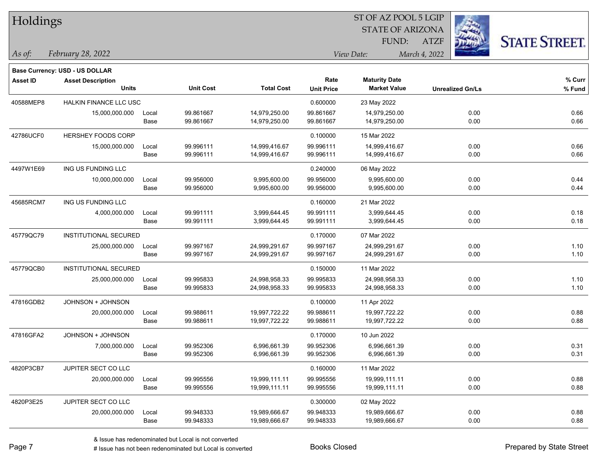| Holdings        |                                       |       |                  |                   | ST OF AZ POOL 5 LGIP |                         |                         |                      |  |  |
|-----------------|---------------------------------------|-------|------------------|-------------------|----------------------|-------------------------|-------------------------|----------------------|--|--|
|                 |                                       |       |                  |                   |                      | <b>STATE OF ARIZONA</b> |                         |                      |  |  |
|                 |                                       |       |                  |                   |                      | FUND:                   | <b>ATZF</b>             | <b>STATE STREET.</b> |  |  |
| As of:          | February 28, 2022                     |       |                  |                   |                      | View Date:              | March 4, 2022           |                      |  |  |
|                 | <b>Base Currency: USD - US DOLLAR</b> |       |                  |                   |                      |                         |                         |                      |  |  |
| <b>Asset ID</b> | <b>Asset Description</b>              |       |                  |                   | Rate                 | <b>Maturity Date</b>    |                         | % Curr               |  |  |
|                 | <b>Units</b>                          |       | <b>Unit Cost</b> | <b>Total Cost</b> | <b>Unit Price</b>    | <b>Market Value</b>     | <b>Unrealized Gn/Ls</b> | % Fund               |  |  |
| 40588MEP8       | HALKIN FINANCE LLC USC                |       |                  |                   | 0.600000             | 23 May 2022             |                         |                      |  |  |
|                 | 15,000,000.000                        | Local | 99.861667        | 14,979,250.00     | 99.861667            | 14,979,250.00           | 0.00                    | 0.66                 |  |  |
|                 |                                       | Base  | 99.861667        | 14,979,250.00     | 99.861667            | 14,979,250.00           | 0.00                    | 0.66                 |  |  |
| 42786UCF0       | HERSHEY FOODS CORP                    |       |                  |                   | 0.100000             | 15 Mar 2022             |                         |                      |  |  |
|                 | 15,000,000.000                        | Local | 99.996111        | 14,999,416.67     | 99.996111            | 14,999,416.67           | 0.00                    | 0.66                 |  |  |
|                 |                                       | Base  | 99.996111        | 14,999,416.67     | 99.996111            | 14,999,416.67           | 0.00                    | 0.66                 |  |  |
| 4497W1E69       | ING US FUNDING LLC                    |       |                  |                   | 0.240000             | 06 May 2022             |                         |                      |  |  |
|                 | 10,000,000.000                        | Local | 99.956000        | 9,995,600.00      | 99.956000            | 9,995,600.00            | 0.00                    | 0.44                 |  |  |
|                 |                                       | Base  | 99.956000        | 9,995,600.00      | 99.956000            | 9,995,600.00            | 0.00                    | 0.44                 |  |  |
| 45685RCM7       | ING US FUNDING LLC                    |       |                  |                   | 0.160000             | 21 Mar 2022             |                         |                      |  |  |
|                 | 4,000,000.000                         | Local | 99.991111        | 3,999,644.45      | 99.991111            | 3,999,644.45            | 0.00                    | 0.18                 |  |  |
|                 |                                       | Base  | 99.991111        | 3,999,644.45      | 99.991111            | 3,999,644.45            | 0.00                    | 0.18                 |  |  |
| 45779QC79       | <b>INSTITUTIONAL SECURED</b>          |       |                  |                   | 0.170000             | 07 Mar 2022             |                         |                      |  |  |
|                 | 25,000,000.000                        | Local | 99.997167        | 24,999,291.67     | 99.997167            | 24,999,291.67           | 0.00                    | 1.10                 |  |  |
|                 |                                       | Base  | 99.997167        | 24,999,291.67     | 99.997167            | 24,999,291.67           | 0.00                    | 1.10                 |  |  |
| 45779QCB0       | <b>INSTITUTIONAL SECURED</b>          |       |                  |                   | 0.150000             | 11 Mar 2022             |                         |                      |  |  |
|                 | 25,000,000.000                        | Local | 99.995833        | 24,998,958.33     | 99.995833            | 24,998,958.33           | 0.00                    | 1.10                 |  |  |
|                 |                                       | Base  | 99.995833        | 24,998,958.33     | 99.995833            | 24,998,958.33           | 0.00                    | 1.10                 |  |  |
| 47816GDB2       | JOHNSON + JOHNSON                     |       |                  |                   | 0.100000             | 11 Apr 2022             |                         |                      |  |  |
|                 | 20,000,000.000                        | Local | 99.988611        | 19,997,722.22     | 99.988611            | 19,997,722.22           | 0.00                    | 0.88                 |  |  |
|                 |                                       | Base  | 99.988611        | 19,997,722.22     | 99.988611            | 19,997,722.22           | 0.00                    | 0.88                 |  |  |
| 47816GFA2       | JOHNSON + JOHNSON                     |       |                  |                   | 0.170000             | 10 Jun 2022             |                         |                      |  |  |
|                 | 7,000,000.000                         | Local | 99.952306        | 6,996,661.39      | 99.952306            | 6,996,661.39            | 0.00                    | 0.31                 |  |  |
|                 |                                       | Base  | 99.952306        | 6,996,661.39      | 99.952306            | 6,996,661.39            | 0.00                    | 0.31                 |  |  |
| 4820P3CB7       | JUPITER SECT CO LLC                   |       |                  |                   | 0.160000             | 11 Mar 2022             |                         |                      |  |  |
|                 | 20,000,000.000                        | Local | 99.995556        | 19,999,111.11     | 99.995556            | 19,999,111.11           | 0.00                    | 0.88                 |  |  |
|                 |                                       | Base  | 99.995556        | 19,999,111.11     | 99.995556            | 19,999,111.11           | 0.00                    | 0.88                 |  |  |
| 4820P3E25       | JUPITER SECT CO LLC                   |       |                  |                   | 0.300000             | 02 May 2022             |                         |                      |  |  |
|                 | 20,000,000.000                        | Local | 99.948333        | 19,989,666.67     | 99.948333            | 19,989,666.67           | 0.00                    | 0.88                 |  |  |
|                 |                                       | Base  | 99.948333        | 19,989,666.67     | 99.948333            | 19,989,666.67           | 0.00                    | 0.88                 |  |  |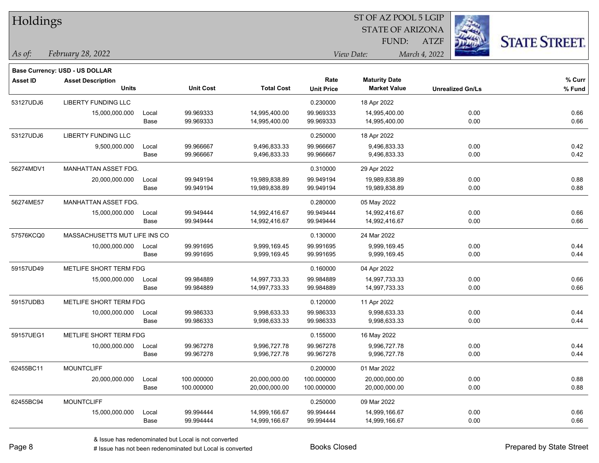| Holdings        |                                       |       |                  |                   |                   | 51 OF AZ POOL 5 LGIP    |                         |                      |
|-----------------|---------------------------------------|-------|------------------|-------------------|-------------------|-------------------------|-------------------------|----------------------|
|                 |                                       |       |                  |                   |                   | <b>STATE OF ARIZONA</b> |                         |                      |
|                 |                                       |       |                  |                   |                   | FUND:                   | <b>ATZF</b>             | <b>STATE STREET.</b> |
| As of:          | February 28, 2022                     |       |                  |                   |                   | View Date:              | March 4, 2022           |                      |
|                 | <b>Base Currency: USD - US DOLLAR</b> |       |                  |                   |                   |                         |                         |                      |
| <b>Asset ID</b> | <b>Asset Description</b>              |       |                  |                   | Rate              | <b>Maturity Date</b>    |                         | % Curr               |
|                 | <b>Units</b>                          |       | <b>Unit Cost</b> | <b>Total Cost</b> | <b>Unit Price</b> | <b>Market Value</b>     | <b>Unrealized Gn/Ls</b> | % Fund               |
| 53127UDJ6       | LIBERTY FUNDING LLC                   |       |                  |                   | 0.230000          | 18 Apr 2022             |                         |                      |
|                 | 15,000,000.000                        | Local | 99.969333        | 14,995,400.00     | 99.969333         | 14,995,400.00           | 0.00                    | 0.66                 |
|                 |                                       | Base  | 99.969333        | 14,995,400.00     | 99.969333         | 14,995,400.00           | 0.00                    | 0.66                 |
| 53127UDJ6       | <b>LIBERTY FUNDING LLC</b>            |       |                  |                   | 0.250000          | 18 Apr 2022             |                         |                      |
|                 | 9,500,000.000                         | Local | 99.966667        | 9,496,833.33      | 99.966667         | 9,496,833.33            | 0.00                    | 0.42                 |
|                 |                                       | Base  | 99.966667        | 9,496,833.33      | 99.966667         | 9,496,833.33            | 0.00                    | 0.42                 |
| 56274MDV1       | MANHATTAN ASSET FDG.                  |       |                  |                   | 0.310000          | 29 Apr 2022             |                         |                      |
|                 | 20,000,000.000                        | Local | 99.949194        | 19,989,838.89     | 99.949194         | 19,989,838.89           | 0.00                    | 0.88                 |
|                 |                                       | Base  | 99.949194        | 19,989,838.89     | 99.949194         | 19,989,838.89           | 0.00                    | 0.88                 |
| 56274ME57       | MANHATTAN ASSET FDG.                  |       |                  |                   | 0.280000          | 05 May 2022             |                         |                      |
|                 | 15,000,000.000                        | Local | 99.949444        | 14,992,416.67     | 99.949444         | 14,992,416.67           | 0.00                    | 0.66                 |
|                 |                                       | Base  | 99.949444        | 14,992,416.67     | 99.949444         | 14,992,416.67           | 0.00                    | 0.66                 |
| 57576KCQ0       | MASSACHUSETTS MUT LIFE INS CO         |       |                  |                   | 0.130000          | 24 Mar 2022             |                         |                      |
|                 | 10,000,000.000                        | Local | 99.991695        | 9,999,169.45      | 99.991695         | 9,999,169.45            | 0.00                    | 0.44                 |
|                 |                                       | Base  | 99.991695        | 9,999,169.45      | 99.991695         | 9,999,169.45            | 0.00                    | 0.44                 |
| 59157UD49       | METLIFE SHORT TERM FDG                |       |                  |                   | 0.160000          | 04 Apr 2022             |                         |                      |
|                 | 15,000,000.000                        | Local | 99.984889        | 14,997,733.33     | 99.984889         | 14,997,733.33           | 0.00                    | 0.66                 |
|                 |                                       | Base  | 99.984889        | 14,997,733.33     | 99.984889         | 14,997,733.33           | 0.00                    | 0.66                 |
| 59157UDB3       | METLIFE SHORT TERM FDG                |       |                  |                   | 0.120000          | 11 Apr 2022             |                         |                      |
|                 | 10,000,000.000                        | Local | 99.986333        | 9,998,633.33      | 99.986333         | 9,998,633.33            | 0.00                    | 0.44                 |
|                 |                                       | Base  | 99.986333        | 9,998,633.33      | 99.986333         | 9,998,633.33            | 0.00                    | 0.44                 |
| 59157UEG1       | METLIFE SHORT TERM FDG                |       |                  |                   | 0.155000          | 16 May 2022             |                         |                      |
|                 | 10,000,000.000                        | Local | 99.967278        | 9,996,727.78      | 99.967278         | 9,996,727.78            | 0.00                    | 0.44                 |
|                 |                                       | Base  | 99.967278        | 9,996,727.78      | 99.967278         | 9,996,727.78            | 0.00                    | 0.44                 |
| 62455BC11       | <b>MOUNTCLIFF</b>                     |       |                  |                   | 0.200000          | 01 Mar 2022             |                         |                      |
|                 | 20,000,000.000                        | Local | 100.000000       | 20,000,000.00     | 100.000000        | 20,000,000.00           | 0.00                    | 0.88                 |
|                 |                                       | Base  | 100.000000       | 20,000,000.00     | 100.000000        | 20,000,000.00           | 0.00                    | 0.88                 |
| 62455BC94       | <b>MOUNTCLIFF</b>                     |       |                  |                   | 0.250000          | 09 Mar 2022             |                         |                      |
|                 | 15,000,000.000                        | Local | 99.994444        | 14,999,166.67     | 99.994444         | 14,999,166.67           | 0.00                    | 0.66                 |
|                 |                                       | Base  | 99.994444        | 14,999,166.67     | 99.994444         | 14,999,166.67           | 0.00                    | 0.66                 |

 $\overline{\text{S}}$  of  $\overline{\text{S}}$   $\overline{\text{S}}$   $\overline{\text{S}}$   $\overline{\text{S}}$   $\overline{\text{S}}$   $\overline{\text{S}}$   $\overline{\text{S}}$   $\overline{\text{S}}$   $\overline{\text{S}}$   $\overline{\text{S}}$   $\overline{\text{S}}$   $\overline{\text{S}}$   $\overline{\text{S}}$   $\overline{\text{S}}$   $\overline{\text{S}}$   $\overline{\text{S}}$   $\overline{\text{S}}$   $\overline{\text{S}}$   $\overline{\text{S}}$ 

# Issue has not been redenominated but Local is converted Books Closed Prepared by State Street

٦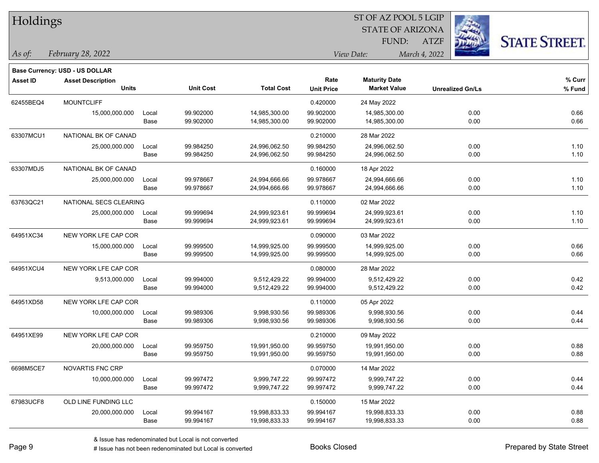| Holdings        |                                          |               |                        |                                |                           | ST OF AZ POOL 5 LGIP<br><b>STATE OF ARIZONA</b> |                         |                      |
|-----------------|------------------------------------------|---------------|------------------------|--------------------------------|---------------------------|-------------------------------------------------|-------------------------|----------------------|
|                 |                                          |               |                        |                                |                           | FUND:                                           | <b>ATZF</b>             | <b>STATE STREET.</b> |
| As of:          | February 28, 2022                        |               |                        |                                |                           | View Date:                                      | March 4, 2022           |                      |
|                 | <b>Base Currency: USD - US DOLLAR</b>    |               |                        |                                |                           |                                                 |                         |                      |
| <b>Asset ID</b> | <b>Asset Description</b><br><b>Units</b> |               | <b>Unit Cost</b>       | <b>Total Cost</b>              | Rate<br><b>Unit Price</b> | <b>Maturity Date</b><br><b>Market Value</b>     | <b>Unrealized Gn/Ls</b> | % Curr<br>% Fund     |
|                 |                                          |               |                        |                                |                           |                                                 |                         |                      |
| 62455BEQ4       | <b>MOUNTCLIFF</b>                        |               |                        |                                | 0.420000                  | 24 May 2022                                     |                         |                      |
|                 | 15,000,000.000                           | Local<br>Base | 99.902000<br>99.902000 | 14,985,300.00<br>14,985,300.00 | 99.902000<br>99.902000    | 14,985,300.00<br>14,985,300.00                  | 0.00<br>0.00            | 0.66<br>0.66         |
|                 |                                          |               |                        |                                |                           |                                                 |                         |                      |
| 63307MCU1       | NATIONAL BK OF CANAD                     |               |                        |                                | 0.210000                  | 28 Mar 2022                                     |                         |                      |
|                 | 25,000,000.000                           | Local         | 99.984250              | 24,996,062.50                  | 99.984250                 | 24,996,062.50                                   | 0.00                    | 1.10                 |
|                 |                                          | Base          | 99.984250              | 24,996,062.50                  | 99.984250                 | 24,996,062.50                                   | 0.00                    | 1.10                 |
| 63307MDJ5       | NATIONAL BK OF CANAD                     |               |                        |                                | 0.160000                  | 18 Apr 2022                                     |                         |                      |
|                 | 25,000,000.000                           | Local         | 99.978667              | 24,994,666.66                  | 99.978667                 | 24,994,666.66                                   | 0.00                    | 1.10                 |
|                 |                                          | Base          | 99.978667              | 24,994,666.66                  | 99.978667                 | 24,994,666.66                                   | 0.00                    | 1.10                 |
| 63763QC21       | NATIONAL SECS CLEARING                   |               |                        |                                | 0.110000                  | 02 Mar 2022                                     |                         |                      |
|                 | 25,000,000.000                           | Local         | 99.999694              | 24,999,923.61                  | 99.999694                 | 24,999,923.61                                   | 0.00                    | 1.10                 |
|                 |                                          | Base          | 99.999694              | 24,999,923.61                  | 99.999694                 | 24,999,923.61                                   | 0.00                    | 1.10                 |
| 64951XC34       | NEW YORK LFE CAP COR                     |               |                        |                                | 0.090000                  | 03 Mar 2022                                     |                         |                      |
|                 | 15,000,000.000                           | Local         | 99.999500              | 14,999,925.00                  | 99.999500                 | 14,999,925.00                                   | 0.00                    | 0.66                 |
|                 |                                          | Base          | 99.999500              | 14,999,925.00                  | 99.999500                 | 14,999,925.00                                   | 0.00                    | 0.66                 |
| 64951XCU4       | NEW YORK LFE CAP COR                     |               |                        |                                | 0.080000                  | 28 Mar 2022                                     |                         |                      |
|                 | 9,513,000.000                            | Local         | 99.994000              | 9,512,429.22                   | 99.994000                 | 9,512,429.22                                    | 0.00                    | 0.42                 |
|                 |                                          | Base          | 99.994000              | 9,512,429.22                   | 99.994000                 | 9,512,429.22                                    | 0.00                    | 0.42                 |
| 64951XD58       | NEW YORK LFE CAP COR                     |               |                        |                                | 0.110000                  | 05 Apr 2022                                     |                         |                      |
|                 | 10,000,000.000                           | Local         | 99.989306              | 9,998,930.56                   | 99.989306                 | 9,998,930.56                                    | 0.00                    | 0.44                 |
|                 |                                          | Base          | 99.989306              | 9,998,930.56                   | 99.989306                 | 9,998,930.56                                    | 0.00                    | 0.44                 |
| 64951XE99       | NEW YORK LFE CAP COR                     |               |                        |                                | 0.210000                  | 09 May 2022                                     |                         |                      |
|                 | 20,000,000.000                           | Local         | 99.959750              | 19,991,950.00                  | 99.959750                 | 19,991,950.00                                   | 0.00                    | 0.88                 |
|                 |                                          | Base          | 99.959750              | 19,991,950.00                  | 99.959750                 | 19,991,950.00                                   | 0.00                    | 0.88                 |
| 6698M5CE7       | NOVARTIS FNC CRP                         |               |                        |                                | 0.070000                  | 14 Mar 2022                                     |                         |                      |
|                 | 10,000,000.000                           | Local         | 99.997472              | 9,999,747.22                   | 99.997472                 | 9,999,747.22                                    | 0.00                    | 0.44                 |
|                 |                                          | Base          | 99.997472              | 9,999,747.22                   | 99.997472                 | 9,999,747.22                                    | 0.00                    | 0.44                 |
| 67983UCF8       | OLD LINE FUNDING LLC                     |               |                        |                                | 0.150000                  | 15 Mar 2022                                     |                         |                      |
|                 | 20,000,000.000                           | Local         | 99.994167              | 19,998,833.33                  | 99.994167                 | 19,998,833.33                                   | 0.00                    | 0.88                 |
|                 |                                          | Base          | 99.994167              | 19,998,833.33                  | 99.994167                 | 19,998,833.33                                   | 0.00                    | 0.88                 |
|                 |                                          |               |                        |                                |                           |                                                 |                         |                      |

٦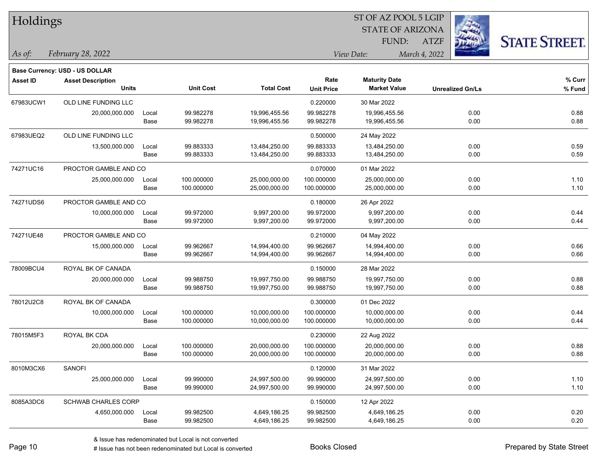|                      |                                                                               |                                                                                                               |                        |                               |                        |                                                                       | <b>STATE STREET</b>                                                                             |
|----------------------|-------------------------------------------------------------------------------|---------------------------------------------------------------------------------------------------------------|------------------------|-------------------------------|------------------------|-----------------------------------------------------------------------|-------------------------------------------------------------------------------------------------|
| February 28, 2022    |                                                                               |                                                                                                               |                        |                               |                        |                                                                       |                                                                                                 |
|                      |                                                                               |                                                                                                               |                        |                               |                        |                                                                       |                                                                                                 |
|                      |                                                                               |                                                                                                               |                        | Rate                          | <b>Maturity Date</b>   |                                                                       | % Curr                                                                                          |
| <b>Units</b>         |                                                                               | <b>Unit Cost</b>                                                                                              | <b>Total Cost</b>      | <b>Unit Price</b>             | <b>Market Value</b>    | <b>Unrealized Gn/Ls</b>                                               | % Fund                                                                                          |
| OLD LINE FUNDING LLC |                                                                               |                                                                                                               |                        | 0.220000                      | 30 Mar 2022            |                                                                       |                                                                                                 |
| 20,000,000.000       | Local                                                                         | 99.982278                                                                                                     | 19,996,455.56          | 99.982278                     | 19,996,455.56          | 0.00                                                                  | 0.88                                                                                            |
|                      | Base                                                                          | 99.982278                                                                                                     | 19,996,455.56          | 99.982278                     | 19,996,455.56          | 0.00                                                                  | 0.88                                                                                            |
| OLD LINE FUNDING LLC |                                                                               |                                                                                                               |                        | 0.500000                      | 24 May 2022            |                                                                       |                                                                                                 |
| 13,500,000.000       | Local                                                                         | 99.883333                                                                                                     | 13,484,250.00          | 99.883333                     | 13,484,250.00          | 0.00                                                                  | 0.59                                                                                            |
|                      | Base                                                                          |                                                                                                               |                        |                               |                        |                                                                       | 0.59                                                                                            |
|                      |                                                                               |                                                                                                               |                        | 0.070000                      | 01 Mar 2022            |                                                                       |                                                                                                 |
| 25,000,000.000       | Local                                                                         | 100.000000                                                                                                    | 25,000,000.00          | 100.000000                    | 25,000,000.00          | 0.00                                                                  | 1.10                                                                                            |
|                      | Base                                                                          | 100.000000                                                                                                    | 25,000,000.00          | 100.000000                    | 25,000,000.00          | 0.00                                                                  | 1.10                                                                                            |
|                      |                                                                               |                                                                                                               |                        | 0.180000                      | 26 Apr 2022            |                                                                       |                                                                                                 |
| 10,000,000.000       | Local                                                                         | 99.972000                                                                                                     | 9,997,200.00           | 99.972000                     | 9,997,200.00           | 0.00                                                                  | 0.44                                                                                            |
|                      |                                                                               |                                                                                                               |                        |                               |                        |                                                                       | 0.44                                                                                            |
|                      |                                                                               |                                                                                                               |                        | 0.210000                      | 04 May 2022            |                                                                       |                                                                                                 |
| 15,000,000.000       | Local                                                                         | 99.962667                                                                                                     | 14,994,400.00          | 99.962667                     | 14,994,400.00          | 0.00                                                                  | 0.66                                                                                            |
|                      | Base                                                                          | 99.962667                                                                                                     | 14,994,400.00          | 99.962667                     | 14,994,400.00          | 0.00                                                                  | 0.66                                                                                            |
| ROYAL BK OF CANADA   |                                                                               |                                                                                                               |                        | 0.150000                      | 28 Mar 2022            |                                                                       |                                                                                                 |
| 20,000,000.000       | Local                                                                         | 99.988750                                                                                                     | 19,997,750.00          | 99.988750                     | 19,997,750.00          | 0.00                                                                  | 0.88                                                                                            |
|                      | Base                                                                          | 99.988750                                                                                                     | 19,997,750.00          | 99.988750                     | 19,997,750.00          | 0.00                                                                  | 0.88                                                                                            |
| ROYAL BK OF CANADA   |                                                                               |                                                                                                               |                        | 0.300000                      | 01 Dec 2022            |                                                                       |                                                                                                 |
| 10,000,000.000       | Local                                                                         | 100.000000                                                                                                    | 10,000,000.00          | 100.000000                    | 10,000,000.00          | 0.00                                                                  | 0.44                                                                                            |
|                      | Base                                                                          | 100.000000                                                                                                    | 10,000,000.00          | 100.000000                    | 10,000,000.00          | 0.00                                                                  | 0.44                                                                                            |
| ROYAL BK CDA         |                                                                               |                                                                                                               |                        | 0.230000                      | 22 Aug 2022            |                                                                       |                                                                                                 |
| 20,000,000.000       | Local                                                                         | 100.000000                                                                                                    | 20,000,000.00          | 100.000000                    | 20,000,000.00          | 0.00                                                                  | 0.88                                                                                            |
|                      | Base                                                                          | 100.000000                                                                                                    | 20,000,000.00          | 100.000000                    |                        | 0.00                                                                  | 0.88                                                                                            |
| SANOFI               |                                                                               |                                                                                                               |                        | 0.120000                      | 31 Mar 2022            |                                                                       |                                                                                                 |
| 25,000,000.000       | Local                                                                         | 99.990000                                                                                                     | 24,997,500.00          | 99.990000                     | 24,997,500.00          | 0.00                                                                  | 1.10                                                                                            |
|                      | Base                                                                          | 99.990000                                                                                                     | 24,997,500.00          | 99.990000                     | 24,997,500.00          | 0.00                                                                  | 1.10                                                                                            |
|                      |                                                                               |                                                                                                               |                        | 0.150000                      | 12 Apr 2022            |                                                                       |                                                                                                 |
| 4,650,000.000        | Local                                                                         | 99.982500                                                                                                     | 4,649,186.25           | 99.982500                     | 4,649,186.25           | 0.00                                                                  | 0.20                                                                                            |
|                      | Base                                                                          | 99.982500                                                                                                     | 4,649,186.25           | 99.982500                     | 4,649,186.25           | 0.00                                                                  | 0.20                                                                                            |
|                      | Holdings<br><b>Base Currency: USD - US DOLLAR</b><br><b>Asset Description</b> | PROCTOR GAMBLE AND CO<br>PROCTOR GAMBLE AND CO<br>Base<br>PROCTOR GAMBLE AND CO<br><b>SCHWAB CHARLES CORP</b> | 99.883333<br>99.972000 | 13,484,250.00<br>9,997,200.00 | 99.883333<br>99.972000 | FUND:<br>View Date:<br>13,484,250.00<br>9,997,200.00<br>20,000,000.00 | 51 OF AZ POOL 5 LGIP<br><b>STATE OF ARIZONA</b><br><b>ATZF</b><br>March 4, 2022<br>0.00<br>0.00 |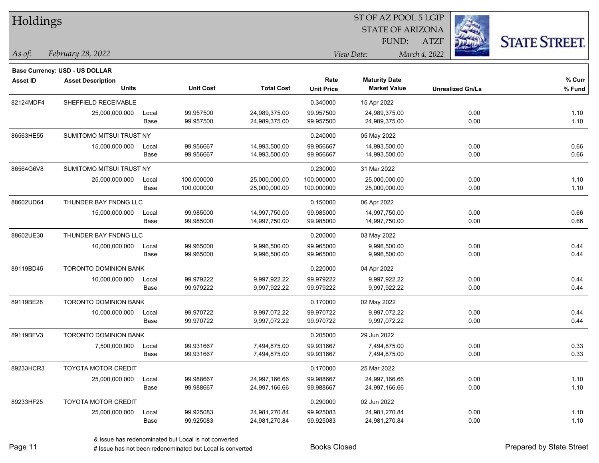| Holdings        |                                |       |                  |                   | ST OF AZ POOL 5 LGIP |                         |                         |                      |  |  |
|-----------------|--------------------------------|-------|------------------|-------------------|----------------------|-------------------------|-------------------------|----------------------|--|--|
|                 |                                |       |                  |                   |                      | <b>STATE OF ARIZONA</b> |                         |                      |  |  |
|                 |                                |       |                  |                   |                      | FUND:                   | <b>ATZF</b>             | <b>STATE STREET.</b> |  |  |
| As of:          | February 28, 2022              |       |                  |                   |                      | View Date:              | March 4, 2022           |                      |  |  |
|                 | Base Currency: USD - US DOLLAR |       |                  |                   |                      |                         |                         |                      |  |  |
| <b>Asset ID</b> | <b>Asset Description</b>       |       |                  |                   | Rate                 | <b>Maturity Date</b>    |                         | % Curr               |  |  |
|                 | <b>Units</b>                   |       | <b>Unit Cost</b> | <b>Total Cost</b> | <b>Unit Price</b>    | <b>Market Value</b>     | <b>Unrealized Gn/Ls</b> | % Fund               |  |  |
| 82124MDF4       | SHEFFIELD RECEIVABLE           |       |                  |                   | 0.340000             | 15 Apr 2022             |                         |                      |  |  |
|                 | 25,000,000.000                 | Local | 99.957500        | 24,989,375.00     | 99.957500            | 24,989,375.00           | 0.00                    | 1.10                 |  |  |
|                 |                                | Base  | 99.957500        | 24,989,375.00     | 99.957500            | 24,989,375.00           | 0.00                    | 1.10                 |  |  |
| 86563HE55       | SUMITOMO MITSUI TRUST NY       |       |                  |                   | 0.240000             | 05 May 2022             |                         |                      |  |  |
|                 | 15,000,000.000                 | Local | 99.956667        | 14,993,500.00     | 99.956667            | 14,993,500.00           | 0.00                    | 0.66                 |  |  |
|                 |                                | Base  | 99.956667        | 14,993,500.00     | 99.956667            | 14,993,500.00           | 0.00                    | 0.66                 |  |  |
| 86564G6V8       | SUMITOMO MITSUI TRUST NY       |       |                  |                   | 0.230000             | 31 Mar 2022             |                         |                      |  |  |
|                 | 25,000,000.000                 | Local | 100.000000       | 25,000,000.00     | 100.000000           | 25,000,000.00           | 0.00                    | 1.10                 |  |  |
|                 |                                | Base  | 100.000000       | 25,000,000.00     | 100.000000           | 25,000,000.00           | 0.00                    | 1.10                 |  |  |
| 88602UD64       | THUNDER BAY FNDNG LLC          |       |                  |                   | 0.150000             | 06 Apr 2022             |                         |                      |  |  |
|                 | 15,000,000.000                 | Local | 99.985000        | 14,997,750.00     | 99.985000            | 14,997,750.00           | 0.00                    | 0.66                 |  |  |
|                 |                                | Base  | 99.985000        | 14,997,750.00     | 99.985000            | 14,997,750.00           | 0.00                    | 0.66                 |  |  |
| 88602UE30       | THUNDER BAY FNDNG LLC          |       |                  |                   | 0.200000             | 03 May 2022             |                         |                      |  |  |
|                 | 10,000,000.000                 | Local | 99.965000        | 9,996,500.00      | 99.965000            | 9,996,500.00            | 0.00                    | 0.44                 |  |  |
|                 |                                | Base  | 99.965000        | 9,996,500.00      | 99.965000            | 9,996,500.00            | 0.00                    | 0.44                 |  |  |
| 89119BD45       | <b>TORONTO DOMINION BANK</b>   |       |                  |                   | 0.220000             | 04 Apr 2022             |                         |                      |  |  |
|                 | 10,000,000.000                 | Local | 99.979222        | 9,997,922.22      | 99.979222            | 9,997,922.22            | 0.00                    | 0.44                 |  |  |
|                 |                                | Base  | 99.979222        | 9,997,922.22      | 99.979222            | 9,997,922.22            | 0.00                    | 0.44                 |  |  |
| 89119BE28       | TORONTO DOMINION BANK          |       |                  |                   | 0.170000             | 02 May 2022             |                         |                      |  |  |
|                 | 10,000,000.000                 | Local | 99.970722        | 9,997,072.22      | 99.970722            | 9,997,072.22            | 0.00                    | 0.44                 |  |  |
|                 |                                | Base  | 99.970722        | 9,997,072.22      | 99.970722            | 9,997,072.22            | 0.00                    | 0.44                 |  |  |
| 89119BFV3       | <b>TORONTO DOMINION BANK</b>   |       |                  |                   | 0.205000             | 29 Jun 2022             |                         |                      |  |  |
|                 | 7,500,000.000                  | Local | 99.931667        | 7,494,875.00      | 99.931667            | 7,494,875.00            | 0.00                    | 0.33                 |  |  |
|                 |                                | Base  | 99.931667        | 7,494,875.00      | 99.931667            | 7,494,875.00            | 0.00                    | 0.33                 |  |  |
| 89233HCR3       | <b>TOYOTA MOTOR CREDIT</b>     |       |                  |                   | 0.170000             | 25 Mar 2022             |                         |                      |  |  |
|                 | 25,000,000.000                 | Local | 99.988667        | 24,997,166.66     | 99.988667            | 24,997,166.66           | 0.00                    | 1.10                 |  |  |
|                 |                                | Base  | 99.988667        | 24,997,166.66     | 99.988667            | 24,997,166.66           | 0.00                    | 1.10                 |  |  |
| 89233HF25       | TOYOTA MOTOR CREDIT            |       |                  |                   | 0.290000             | 02 Jun 2022             |                         |                      |  |  |
|                 | 25,000,000.000                 | Local | 99.925083        | 24,981,270.84     | 99.925083            | 24,981,270.84           | 0.00                    | 1.10                 |  |  |
|                 |                                | Base  | 99.925083        | 24,981,270.84     | 99.925083            | 24,981,270.84           | 0.00                    | 1.10                 |  |  |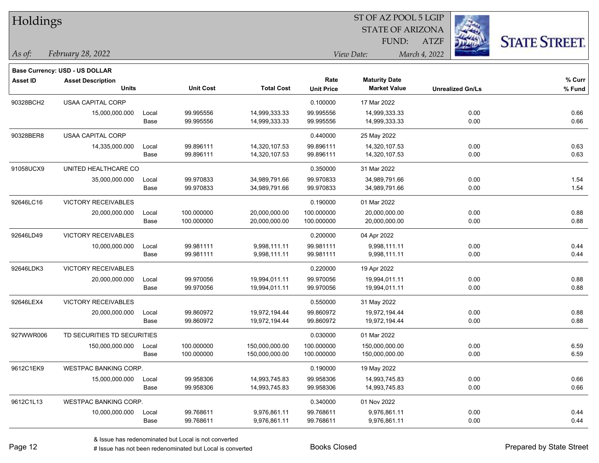| Holdings        |                                                            |       |                  |                   |                   | ST OF AZ POOL 5 LGIP    |                         |                      |
|-----------------|------------------------------------------------------------|-------|------------------|-------------------|-------------------|-------------------------|-------------------------|----------------------|
|                 |                                                            |       |                  |                   |                   | <b>STATE OF ARIZONA</b> |                         |                      |
|                 |                                                            |       |                  |                   |                   | FUND:                   | <b>ATZF</b>             | <b>STATE STREET.</b> |
| $\vert$ As of:  | February 28, 2022                                          |       |                  |                   |                   | View Date:              | March 4, 2022           |                      |
|                 |                                                            |       |                  |                   |                   |                         |                         |                      |
| <b>Asset ID</b> | Base Currency: USD - US DOLLAR<br><b>Asset Description</b> |       |                  |                   | Rate              | <b>Maturity Date</b>    |                         | % Curr               |
|                 | <b>Units</b>                                               |       | <b>Unit Cost</b> | <b>Total Cost</b> | <b>Unit Price</b> | <b>Market Value</b>     | <b>Unrealized Gn/Ls</b> | % Fund               |
| 90328BCH2       | <b>USAA CAPITAL CORP</b>                                   |       |                  |                   | 0.100000          | 17 Mar 2022             |                         |                      |
|                 | 15,000,000.000                                             | Local | 99.995556        | 14,999,333.33     | 99.995556         | 14,999,333.33           | 0.00                    | 0.66                 |
|                 |                                                            | Base  | 99.995556        | 14,999,333.33     | 99.995556         | 14,999,333.33           | 0.00                    | 0.66                 |
| 90328BER8       | USAA CAPITAL CORP                                          |       |                  |                   | 0.440000          | 25 May 2022             |                         |                      |
|                 | 14,335,000.000                                             | Local | 99.896111        | 14,320,107.53     | 99.896111         | 14,320,107.53           | 0.00                    | 0.63                 |
|                 |                                                            | Base  | 99.896111        | 14,320,107.53     | 99.896111         | 14,320,107.53           | 0.00                    | 0.63                 |
| 91058UCX9       | UNITED HEALTHCARE CO                                       |       |                  |                   | 0.350000          | 31 Mar 2022             |                         |                      |
|                 | 35,000,000.000                                             | Local | 99.970833        | 34,989,791.66     | 99.970833         | 34,989,791.66           | 0.00                    | 1.54                 |
|                 |                                                            | Base  | 99.970833        | 34,989,791.66     | 99.970833         | 34,989,791.66           | 0.00                    | 1.54                 |
| 92646LC16       | <b>VICTORY RECEIVABLES</b>                                 |       |                  |                   | 0.190000          | 01 Mar 2022             |                         |                      |
|                 | 20,000,000.000                                             | Local | 100.000000       | 20,000,000.00     | 100.000000        | 20,000,000.00           | 0.00                    | 0.88                 |
|                 |                                                            | Base  | 100.000000       | 20,000,000.00     | 100.000000        | 20,000,000.00           | 0.00                    | 0.88                 |
| 92646LD49       | <b>VICTORY RECEIVABLES</b>                                 |       |                  |                   | 0.200000          | 04 Apr 2022             |                         |                      |
|                 | 10,000,000.000                                             | Local | 99.981111        | 9,998,111.11      | 99.981111         | 9,998,111.11            | 0.00                    | 0.44                 |
|                 |                                                            | Base  | 99.981111        | 9,998,111.11      | 99.981111         | 9,998,111.11            | 0.00                    | 0.44                 |
| 92646LDK3       | <b>VICTORY RECEIVABLES</b>                                 |       |                  |                   | 0.220000          | 19 Apr 2022             |                         |                      |
|                 | 20,000,000.000                                             | Local | 99.970056        | 19,994,011.11     | 99.970056         | 19,994,011.11           | 0.00                    | 0.88                 |
|                 |                                                            | Base  | 99.970056        | 19,994,011.11     | 99.970056         | 19,994,011.11           | 0.00                    | 0.88                 |
| 92646LEX4       | VICTORY RECEIVABLES                                        |       |                  |                   | 0.550000          | 31 May 2022             |                         |                      |
|                 | 20,000,000.000                                             | Local | 99.860972        | 19,972,194.44     | 99.860972         | 19,972,194.44           | 0.00                    | 0.88                 |
|                 |                                                            | Base  | 99.860972        | 19,972,194.44     | 99.860972         | 19,972,194.44           | 0.00                    | 0.88                 |
| 927WWR006       | TD SECURITIES TD SECURITIES                                |       |                  |                   | 0.030000          | 01 Mar 2022             |                         |                      |
|                 | 150,000,000.000                                            | Local | 100.000000       | 150,000,000.00    | 100.000000        | 150,000,000.00          | 0.00                    | 6.59                 |
|                 |                                                            | Base  | 100.000000       | 150,000,000.00    | 100.000000        | 150,000,000.00          | 0.00                    | 6.59                 |
| 9612C1EK9       | <b>WESTPAC BANKING CORP.</b>                               |       |                  |                   | 0.190000          | 19 May 2022             |                         |                      |
|                 | 15,000,000.000                                             | Local | 99.958306        | 14,993,745.83     | 99.958306         | 14,993,745.83           | 0.00                    | 0.66                 |
|                 |                                                            | Base  | 99.958306        | 14,993,745.83     | 99.958306         | 14,993,745.83           | 0.00                    | 0.66                 |
| 9612C1L13       | WESTPAC BANKING CORP.                                      |       |                  |                   | 0.340000          | 01 Nov 2022             |                         |                      |
|                 | 10,000,000.000                                             | Local | 99.768611        | 9,976,861.11      | 99.768611         | 9,976,861.11            | 0.00                    | 0.44                 |
|                 |                                                            | Base  | 99.768611        | 9,976,861.11      | 99.768611         | 9,976,861.11            | 0.00                    | 0.44                 |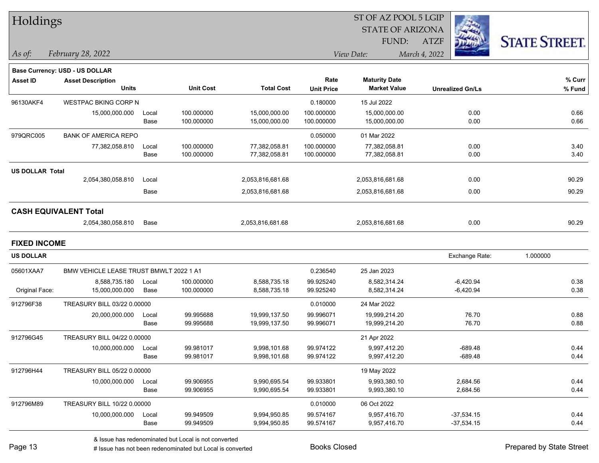| Holdings               |                                         |       |                  |                   |                   | ST OF AZ POOL 5 LGIP    |                         |                      |
|------------------------|-----------------------------------------|-------|------------------|-------------------|-------------------|-------------------------|-------------------------|----------------------|
|                        |                                         |       |                  |                   |                   | <b>STATE OF ARIZONA</b> |                         |                      |
|                        |                                         |       |                  |                   |                   | FUND:                   | <b>ATZF</b>             | <b>STATE STREET.</b> |
| As of:                 | February 28, 2022                       |       |                  |                   |                   | View Date:              | March 4, 2022           |                      |
|                        | <b>Base Currency: USD - US DOLLAR</b>   |       |                  |                   |                   |                         |                         |                      |
| <b>Asset ID</b>        | <b>Asset Description</b>                |       |                  |                   | Rate              | <b>Maturity Date</b>    |                         | % Curr               |
|                        | <b>Units</b>                            |       | <b>Unit Cost</b> | <b>Total Cost</b> | <b>Unit Price</b> | <b>Market Value</b>     | <b>Unrealized Gn/Ls</b> | % Fund               |
| 96130AKF4              | <b>WESTPAC BKING CORP N</b>             |       |                  |                   | 0.180000          | 15 Jul 2022             |                         |                      |
|                        | 15,000,000.000                          | Local | 100.000000       | 15,000,000.00     | 100.000000        | 15,000,000.00           | 0.00                    | 0.66                 |
|                        |                                         | Base  | 100.000000       | 15,000,000.00     | 100.000000        | 15,000,000.00           | 0.00                    | 0.66                 |
| 979QRC005              | <b>BANK OF AMERICA REPO</b>             |       |                  |                   | 0.050000          | 01 Mar 2022             |                         |                      |
|                        | 77,382,058.810                          | Local | 100.000000       | 77,382,058.81     | 100.000000        | 77,382,058.81           | 0.00                    | 3.40                 |
|                        |                                         | Base  | 100.000000       | 77,382,058.81     | 100.000000        | 77,382,058.81           | 0.00                    | 3.40                 |
| <b>US DOLLAR Total</b> |                                         |       |                  |                   |                   |                         |                         |                      |
|                        | 2,054,380,058.810                       | Local |                  | 2,053,816,681.68  |                   | 2,053,816,681.68        | 0.00                    | 90.29                |
|                        |                                         | Base  |                  | 2,053,816,681.68  |                   | 2,053,816,681.68        | 0.00                    | 90.29                |
|                        | <b>CASH EQUIVALENT Total</b>            |       |                  |                   |                   |                         |                         |                      |
|                        | 2,054,380,058.810                       | Base  |                  | 2,053,816,681.68  |                   | 2,053,816,681.68        | 0.00                    | 90.29                |
| <b>FIXED INCOME</b>    |                                         |       |                  |                   |                   |                         |                         |                      |
| <b>US DOLLAR</b>       |                                         |       |                  |                   |                   |                         | Exchange Rate:          | 1.000000             |
| 05601XAA7              | BMW VEHICLE LEASE TRUST BMWLT 2022 1 A1 |       |                  |                   | 0.236540          | 25 Jan 2023             |                         |                      |
|                        | 8,588,735.180                           | Local | 100.000000       | 8,588,735.18      | 99.925240         | 8,582,314.24            | $-6,420.94$             | 0.38                 |
| Original Face:         | 15,000,000.000                          | Base  | 100.000000       | 8,588,735.18      | 99.925240         | 8,582,314.24            | $-6,420.94$             | 0.38                 |
| 912796F38              | TREASURY BILL 03/22 0.00000             |       |                  |                   | 0.010000          | 24 Mar 2022             |                         |                      |
|                        | 20,000,000.000                          | Local | 99.995688        | 19,999,137.50     | 99.996071         | 19,999,214.20           | 76.70                   | 0.88                 |
|                        |                                         | Base  | 99.995688        | 19,999,137.50     | 99.996071         | 19,999,214.20           | 76.70                   | 0.88                 |
| 912796G45              | TREASURY BILL 04/22 0.00000             |       |                  |                   |                   | 21 Apr 2022             |                         |                      |
|                        | 10,000,000.000                          | Local | 99.981017        | 9,998,101.68      | 99.974122         | 9,997,412.20            | $-689.48$               | 0.44                 |
|                        |                                         | Base  | 99.981017        | 9,998,101.68      | 99.974122         | 9,997,412.20            | $-689.48$               | 0.44                 |
| 912796H44              | TREASURY BILL 05/22 0.00000             |       |                  |                   |                   | 19 May 2022             |                         |                      |
|                        | 10,000,000.000                          | Local | 99.906955        | 9,990,695.54      | 99.933801         | 9,993,380.10            | 2,684.56                | 0.44                 |
|                        |                                         | Base  | 99.906955        | 9,990,695.54      | 99.933801         | 9,993,380.10            | 2,684.56                | 0.44                 |
| 912796M89              | TREASURY BILL 10/22 0.00000             |       |                  |                   | 0.010000          | 06 Oct 2022             |                         |                      |
|                        | 10,000,000.000                          | Local | 99.949509        | 9,994,950.85      | 99.574167         | 9,957,416.70            | $-37,534.15$            | 0.44                 |
|                        |                                         | Base  | 99.949509        | 9,994,950.85      | 99.574167         | 9,957,416.70            | $-37,534.15$            | 0.44                 |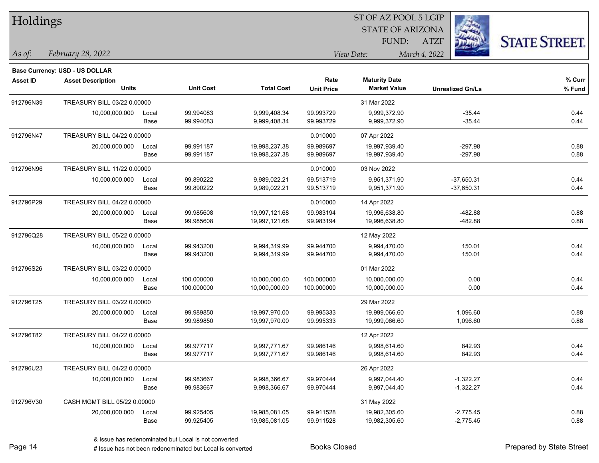| Holdings  |                                |       |                  |                   |                   | 51 OF AZ POOL 5 LGIP    |                         |                      |
|-----------|--------------------------------|-------|------------------|-------------------|-------------------|-------------------------|-------------------------|----------------------|
|           |                                |       |                  |                   |                   | <b>STATE OF ARIZONA</b> |                         |                      |
|           |                                |       |                  |                   |                   | FUND:                   | <b>ATZF</b>             | <b>STATE STREET.</b> |
| As of:    | February 28, 2022              |       |                  |                   |                   | View Date:              | March 4, 2022           |                      |
|           | Base Currency: USD - US DOLLAR |       |                  |                   |                   |                         |                         |                      |
| Asset ID  | <b>Asset Description</b>       |       |                  |                   | Rate              | <b>Maturity Date</b>    |                         | $%$ Curr             |
|           | <b>Units</b>                   |       | <b>Unit Cost</b> | <b>Total Cost</b> | <b>Unit Price</b> | <b>Market Value</b>     | <b>Unrealized Gn/Ls</b> | % Fund               |
| 912796N39 | TREASURY BILL 03/22 0.00000    |       |                  |                   |                   | 31 Mar 2022             |                         |                      |
|           | 10,000,000.000                 | Local | 99.994083        | 9,999,408.34      | 99.993729         | 9,999,372.90            | $-35.44$                | 0.44                 |
|           |                                | Base  | 99.994083        | 9,999,408.34      | 99.993729         | 9,999,372.90            | $-35.44$                | 0.44                 |
| 912796N47 | TREASURY BILL 04/22 0.00000    |       |                  |                   | 0.010000          | 07 Apr 2022             |                         |                      |
|           | 20,000,000.000                 | Local | 99.991187        | 19,998,237.38     | 99.989697         | 19,997,939.40           | $-297.98$               | 0.88                 |
|           |                                | Base  | 99.991187        | 19,998,237.38     | 99.989697         | 19,997,939.40           | $-297.98$               | 0.88                 |
| 912796N96 | TREASURY BILL 11/22 0.00000    |       |                  |                   | 0.010000          | 03 Nov 2022             |                         |                      |
|           | 10,000,000.000                 | Local | 99.890222        | 9,989,022.21      | 99.513719         | 9,951,371.90            | $-37,650.31$            | 0.44                 |
|           |                                | Base  | 99.890222        | 9,989,022.21      | 99.513719         | 9,951,371.90            | $-37,650.31$            | 0.44                 |
| 912796P29 | TREASURY BILL 04/22 0.00000    |       |                  |                   | 0.010000          | 14 Apr 2022             |                         |                      |
|           | 20,000,000.000                 | Local | 99.985608        | 19,997,121.68     | 99.983194         | 19,996,638.80           | $-482.88$               | 0.88                 |
|           |                                | Base  | 99.985608        | 19,997,121.68     | 99.983194         | 19,996,638.80           | $-482.88$               | 0.88                 |
| 912796Q28 | TREASURY BILL 05/22 0.00000    |       |                  |                   |                   | 12 May 2022             |                         |                      |
|           | 10,000,000.000                 | Local | 99.943200        | 9,994,319.99      | 99.944700         | 9,994,470.00            | 150.01                  | 0.44                 |
|           |                                | Base  | 99.943200        | 9,994,319.99      | 99.944700         | 9,994,470.00            | 150.01                  | 0.44                 |
| 912796S26 | TREASURY BILL 03/22 0.00000    |       |                  |                   |                   | 01 Mar 2022             |                         |                      |
|           | 10,000,000.000                 | Local | 100.000000       | 10,000,000.00     | 100.000000        | 10,000,000.00           | 0.00                    | 0.44                 |
|           |                                | Base  | 100.000000       | 10,000,000.00     | 100.000000        | 10,000,000.00           | 0.00                    | 0.44                 |
| 912796T25 | TREASURY BILL 03/22 0.00000    |       |                  |                   |                   | 29 Mar 2022             |                         |                      |
|           | 20,000,000.000                 | Local | 99.989850        | 19,997,970.00     | 99.995333         | 19,999,066.60           | 1,096.60                | 0.88                 |
|           |                                | Base  | 99.989850        | 19,997,970.00     | 99.995333         | 19,999,066.60           | 1,096.60                | 0.88                 |
| 912796T82 | TREASURY BILL 04/22 0.00000    |       |                  |                   |                   | 12 Apr 2022             |                         |                      |
|           | 10,000,000.000                 | Local | 99.977717        | 9,997,771.67      | 99.986146         | 9,998,614.60            | 842.93                  | 0.44                 |
|           |                                | Base  | 99.977717        | 9,997,771.67      | 99.986146         | 9,998,614.60            | 842.93                  | 0.44                 |
| 912796U23 | TREASURY BILL 04/22 0.00000    |       |                  |                   |                   | 26 Apr 2022             |                         |                      |
|           | 10,000,000.000                 | Local | 99.983667        | 9,998,366.67      | 99.970444         | 9,997,044.40            | $-1,322.27$             | 0.44                 |
|           |                                | Base  | 99.983667        | 9,998,366.67      | 99.970444         | 9,997,044.40            | $-1,322.27$             | 0.44                 |
| 912796V30 | CASH MGMT BILL 05/22 0.00000   |       |                  |                   |                   | 31 May 2022             |                         |                      |
|           | 20,000,000.000                 | Local | 99.925405        | 19,985,081.05     | 99.911528         | 19,982,305.60           | $-2,775.45$             | 0.88                 |
|           |                                | Base  | 99.925405        | 19,985,081.05     | 99.911528         | 19,982,305.60           | $-2,775.45$             | 0.88                 |

 $\overline{\text{S}}$  of  $\overline{\text{S}}$   $\overline{\text{S}}$   $\overline{\text{S}}$   $\overline{\text{S}}$   $\overline{\text{S}}$   $\overline{\text{S}}$   $\overline{\text{S}}$   $\overline{\text{S}}$   $\overline{\text{S}}$   $\overline{\text{S}}$   $\overline{\text{S}}$   $\overline{\text{S}}$   $\overline{\text{S}}$   $\overline{\text{S}}$   $\overline{\text{S}}$   $\overline{\text{S}}$   $\overline{\text{S}}$   $\overline{\text{S}}$   $\overline{\text{S}}$ 

٦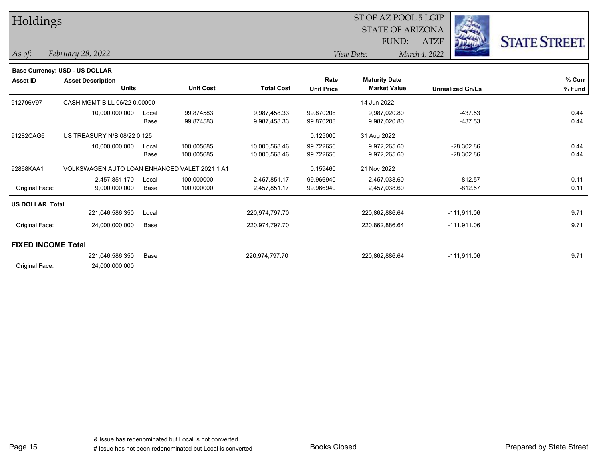| Holdings                  |                                               |       |                  |                   |                   | ST OF AZ POOL 5 LGIP<br><b>STATE OF ARIZONA</b> |               |                         |                      |
|---------------------------|-----------------------------------------------|-------|------------------|-------------------|-------------------|-------------------------------------------------|---------------|-------------------------|----------------------|
|                           |                                               |       |                  |                   |                   |                                                 |               |                         |                      |
|                           |                                               |       |                  |                   |                   | FUND:                                           | <b>ATZF</b>   |                         | <b>STATE STREET.</b> |
| As of:                    | February 28, 2022                             |       |                  |                   |                   | View Date:                                      | March 4, 2022 |                         |                      |
|                           | Base Currency: USD - US DOLLAR                |       |                  |                   |                   |                                                 |               |                         |                      |
| <b>Asset ID</b>           | <b>Asset Description</b>                      |       |                  |                   | Rate              | <b>Maturity Date</b>                            |               |                         | % Curr               |
|                           | <b>Units</b>                                  |       | <b>Unit Cost</b> | <b>Total Cost</b> | <b>Unit Price</b> | <b>Market Value</b>                             |               | <b>Unrealized Gn/Ls</b> | % Fund               |
| 912796V97                 | CASH MGMT BILL 06/22 0.00000                  |       |                  |                   |                   | 14 Jun 2022                                     |               |                         |                      |
|                           | 10,000,000.000                                | Local | 99.874583        | 9,987,458.33      | 99.870208         | 9,987,020.80                                    |               | $-437.53$               | 0.44                 |
|                           |                                               | Base  | 99.874583        | 9,987,458.33      | 99.870208         | 9,987,020.80                                    |               | $-437.53$               | 0.44                 |
| 91282CAG6                 | US TREASURY N/B 08/22 0.125                   |       |                  |                   | 0.125000          | 31 Aug 2022                                     |               |                         |                      |
|                           | 10,000,000.000                                | Local | 100.005685       | 10,000,568.46     | 99.722656         | 9,972,265.60                                    |               | $-28,302.86$            | 0.44                 |
|                           |                                               | Base  | 100.005685       | 10,000,568.46     | 99.722656         | 9,972,265.60                                    |               | $-28,302.86$            | 0.44                 |
| 92868KAA1                 | VOLKSWAGEN AUTO LOAN ENHANCED VALET 2021 1 A1 |       |                  |                   | 0.159460          | 21 Nov 2022                                     |               |                         |                      |
|                           | 2,457,851.170                                 | Local | 100.000000       | 2,457,851.17      | 99.966940         | 2,457,038.60                                    |               | $-812.57$               | 0.11                 |
| Original Face:            | 9,000,000.000                                 | Base  | 100.000000       | 2,457,851.17      | 99.966940         | 2,457,038.60                                    |               | $-812.57$               | 0.11                 |
| <b>US DOLLAR Total</b>    |                                               |       |                  |                   |                   |                                                 |               |                         |                      |
|                           | 221,046,586.350                               | Local |                  | 220,974,797.70    |                   | 220,862,886.64                                  |               | $-111,911.06$           | 9.71                 |
| Original Face:            | 24,000,000.000                                | Base  |                  | 220,974,797.70    |                   | 220,862,886.64                                  |               | $-111,911.06$           | 9.71                 |
| <b>FIXED INCOME Total</b> |                                               |       |                  |                   |                   |                                                 |               |                         |                      |
|                           | 221,046,586.350                               | Base  |                  | 220,974,797.70    |                   | 220,862,886.64                                  |               | $-111,911.06$           | 9.71                 |
| Original Face:            | 24,000,000.000                                |       |                  |                   |                   |                                                 |               |                         |                      |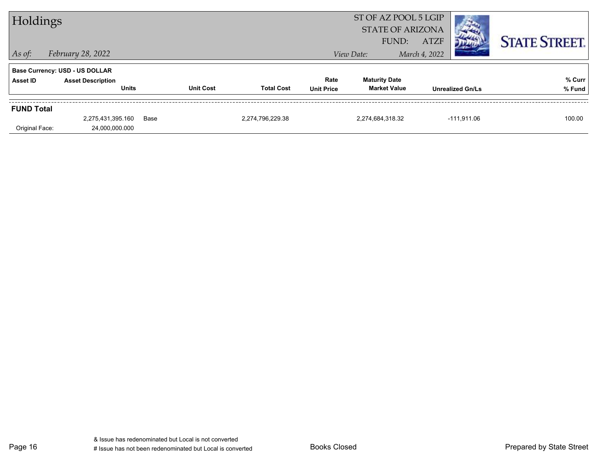| Holdings          |                                          |      |                  |                   |                           | ST OF AZ POOL 5 LGIP<br><b>STATE OF ARIZONA</b><br><b>ATZF</b><br>FUND: |               |                         | <b>STATE STREET.</b> |
|-------------------|------------------------------------------|------|------------------|-------------------|---------------------------|-------------------------------------------------------------------------|---------------|-------------------------|----------------------|
| $ $ As of:        | February 28, 2022                        |      |                  |                   |                           | View Date:                                                              | March 4, 2022 |                         |                      |
|                   | <b>Base Currency: USD - US DOLLAR</b>    |      |                  |                   |                           |                                                                         |               |                         |                      |
| Asset ID          | <b>Asset Description</b><br><b>Units</b> |      | <b>Unit Cost</b> | <b>Total Cost</b> | Rate<br><b>Unit Price</b> | <b>Maturity Date</b><br><b>Market Value</b>                             |               | <b>Unrealized Gn/Ls</b> | % Curr<br>% Fund     |
| <b>FUND Total</b> |                                          |      |                  |                   |                           |                                                                         |               |                         |                      |
|                   | 2,275,431,395.160                        | Base |                  | 2,274,796,229.38  |                           | 2,274,684,318.32                                                        |               | $-111,911.06$           | 100.00               |
| Original Face:    | 24,000,000.000                           |      |                  |                   |                           |                                                                         |               |                         |                      |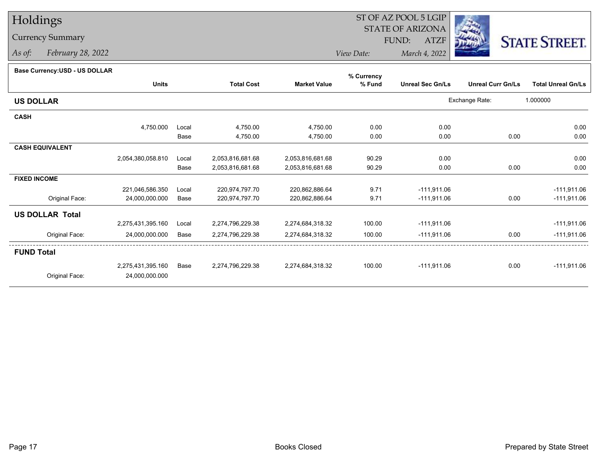## Holdings

## Currency Summary

*As of: February 28, 2022*

## ST OF AZ POOL 5 LGIP STATE OF ARIZONAATZF FUND:



*View Date:March 4, 2022*

| Dase Ourlelicy.OOD - OO DOLLAR |                   |       |                   |                     | % Currency |                         |                          |                           |
|--------------------------------|-------------------|-------|-------------------|---------------------|------------|-------------------------|--------------------------|---------------------------|
|                                | <b>Units</b>      |       | <b>Total Cost</b> | <b>Market Value</b> | % Fund     | <b>Unreal Sec Gn/Ls</b> | <b>Unreal Curr Gn/Ls</b> | <b>Total Unreal Gn/Ls</b> |
| <b>US DOLLAR</b>               |                   |       |                   |                     |            |                         | Exchange Rate:           | 1.000000                  |
| <b>CASH</b>                    |                   |       |                   |                     |            |                         |                          |                           |
|                                | 4,750.000         | Local | 4,750.00          | 4,750.00            | 0.00       | 0.00                    |                          | 0.00                      |
|                                |                   | Base  | 4,750.00          | 4,750.00            | 0.00       | 0.00                    | 0.00                     | 0.00                      |
| <b>CASH EQUIVALENT</b>         |                   |       |                   |                     |            |                         |                          |                           |
|                                | 2,054,380,058.810 | Local | 2,053,816,681.68  | 2,053,816,681.68    | 90.29      | 0.00                    |                          | 0.00                      |
|                                |                   | Base  | 2,053,816,681.68  | 2,053,816,681.68    | 90.29      | 0.00                    | 0.00                     | 0.00                      |
| <b>FIXED INCOME</b>            |                   |       |                   |                     |            |                         |                          |                           |
|                                | 221,046,586.350   | Local | 220,974,797.70    | 220,862,886.64      | 9.71       | $-111,911.06$           |                          | $-111,911.06$             |
| Original Face:                 | 24,000,000.000    | Base  | 220,974,797.70    | 220,862,886.64      | 9.71       | $-111,911.06$           | 0.00                     | $-111,911.06$             |
| <b>US DOLLAR Total</b>         |                   |       |                   |                     |            |                         |                          |                           |
|                                | 2,275,431,395.160 | Local | 2,274,796,229.38  | 2,274,684,318.32    | 100.00     | $-111,911.06$           |                          | $-111,911.06$             |
| Original Face:                 | 24,000,000.000    | Base  | 2,274,796,229.38  | 2,274,684,318.32    | 100.00     | $-111,911.06$           | 0.00                     | $-111,911.06$             |
| <b>FUND Total</b>              |                   |       |                   |                     |            |                         |                          |                           |
|                                | 2,275,431,395.160 | Base  | 2,274,796,229.38  | 2,274,684,318.32    | 100.00     | $-111,911.06$           | 0.00                     | $-111,911.06$             |
| Original Face:                 | 24,000,000.000    |       |                   |                     |            |                         |                          |                           |
|                                |                   |       |                   |                     |            |                         |                          |                           |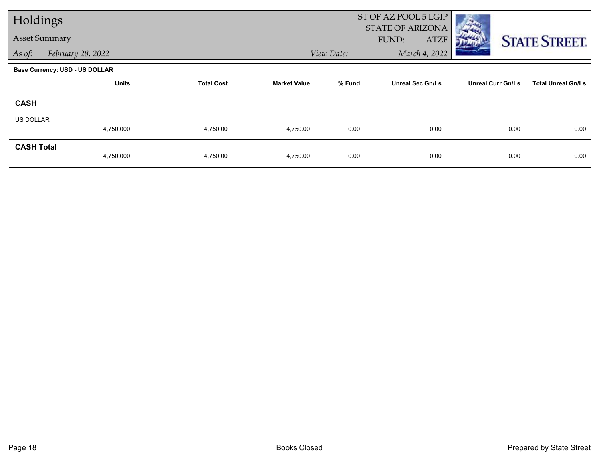| Holdings             |                                       |                   |                     | ST OF AZ POOL 5 LGIP |                                                 |                          |                           |
|----------------------|---------------------------------------|-------------------|---------------------|----------------------|-------------------------------------------------|--------------------------|---------------------------|
| <b>Asset Summary</b> |                                       |                   |                     |                      | <b>STATE OF ARIZONA</b><br>FUND:<br><b>ATZF</b> |                          | <b>STATE STREET.</b>      |
| As of:               | February 28, 2022                     |                   |                     | View Date:           | March 4, 2022                                   |                          |                           |
|                      | <b>Base Currency: USD - US DOLLAR</b> |                   |                     |                      |                                                 |                          |                           |
|                      | <b>Units</b>                          | <b>Total Cost</b> | <b>Market Value</b> | % Fund               | <b>Unreal Sec Gn/Ls</b>                         | <b>Unreal Curr Gn/Ls</b> | <b>Total Unreal Gn/Ls</b> |
| <b>CASH</b>          |                                       |                   |                     |                      |                                                 |                          |                           |
| US DOLLAR            |                                       |                   |                     |                      |                                                 |                          |                           |
|                      | 4,750.000                             | 4,750.00          | 4,750.00            | 0.00                 | 0.00                                            | 0.00                     | 0.00                      |
| <b>CASH Total</b>    | 4,750.000                             | 4,750.00          | 4,750.00            | 0.00                 | 0.00                                            | 0.00                     | 0.00                      |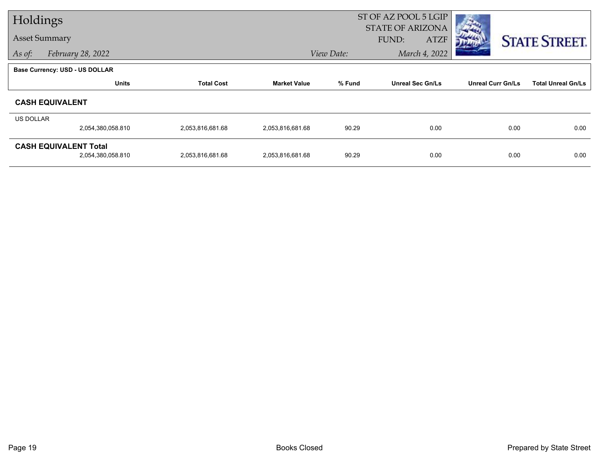| Holdings  |                                                   |                   |                     |                             | ST OF AZ POOL 5 LGIP                            |                          |                           |
|-----------|---------------------------------------------------|-------------------|---------------------|-----------------------------|-------------------------------------------------|--------------------------|---------------------------|
|           | <b>Asset Summary</b>                              |                   |                     |                             | <b>STATE OF ARIZONA</b><br>FUND:<br><b>ATZF</b> |                          | <b>STATE STREET.</b>      |
| As of:    | February 28, 2022                                 |                   |                     | March 4, 2022<br>View Date: |                                                 |                          |                           |
|           | <b>Base Currency: USD - US DOLLAR</b>             |                   |                     |                             |                                                 |                          |                           |
|           | <b>Units</b>                                      | <b>Total Cost</b> | <b>Market Value</b> | % Fund                      | <b>Unreal Sec Gn/Ls</b>                         | <b>Unreal Curr Gn/Ls</b> | <b>Total Unreal Gn/Ls</b> |
|           | <b>CASH EQUIVALENT</b>                            |                   |                     |                             |                                                 |                          |                           |
| US DOLLAR |                                                   |                   |                     |                             |                                                 |                          |                           |
|           | 2,054,380,058.810                                 | 2,053,816,681.68  | 2,053,816,681.68    | 90.29                       | 0.00                                            | 0.00                     | 0.00                      |
|           | <b>CASH EQUIVALENT Total</b><br>2,054,380,058.810 | 2,053,816,681.68  | 2,053,816,681.68    | 90.29                       | 0.00                                            | 0.00                     | 0.00                      |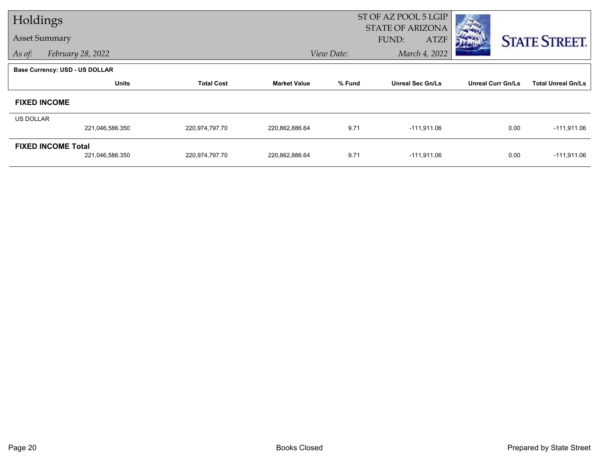| Holdings         |                                       |                   |                     |            | ST OF AZ POOL 5 LGIP<br><b>STATE OF ARIZONA</b> |                          |                           |
|------------------|---------------------------------------|-------------------|---------------------|------------|-------------------------------------------------|--------------------------|---------------------------|
|                  | <b>Asset Summary</b>                  |                   |                     |            | FUND:<br><b>ATZF</b>                            |                          | <b>STATE STREET.</b>      |
| As of:           | February 28, 2022                     |                   |                     | View Date: | March 4, 2022                                   |                          |                           |
|                  | <b>Base Currency: USD - US DOLLAR</b> |                   |                     |            |                                                 |                          |                           |
|                  | <b>Units</b>                          | <b>Total Cost</b> | <b>Market Value</b> | % Fund     | <b>Unreal Sec Gn/Ls</b>                         | <b>Unreal Curr Gn/Ls</b> | <b>Total Unreal Gn/Ls</b> |
|                  | <b>FIXED INCOME</b>                   |                   |                     |            |                                                 |                          |                           |
| <b>US DOLLAR</b> |                                       |                   |                     |            |                                                 |                          |                           |
|                  | 221,046,586.350                       | 220,974,797.70    | 220,862,886.64      | 9.71       | $-111,911.06$                                   | 0.00                     | $-111,911.06$             |
|                  | <b>FIXED INCOME Total</b>             |                   |                     |            |                                                 |                          |                           |
|                  | 221,046,586.350                       | 220,974,797.70    | 220,862,886.64      | 9.71       | $-111,911.06$                                   | 0.00                     | $-111,911.06$             |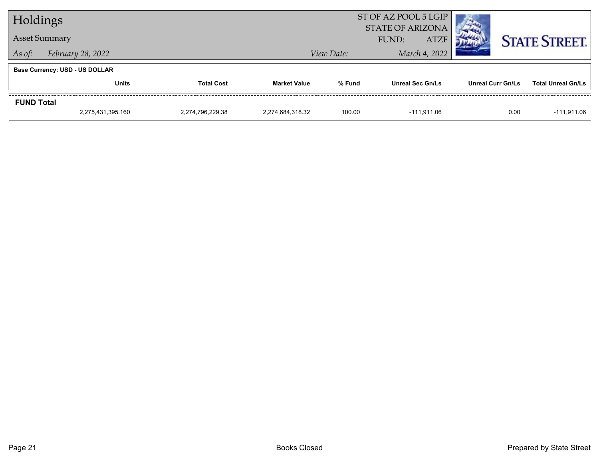| Holdings             |                                       |                   |                     |            | ST OF AZ POOL 5 LGIP<br><b>STATE OF ARIZONA</b> |                          |                           |
|----------------------|---------------------------------------|-------------------|---------------------|------------|-------------------------------------------------|--------------------------|---------------------------|
| <b>Asset Summary</b> |                                       |                   |                     |            | <b>ATZF</b><br>FUND:                            |                          | <b>STATE STREET.</b>      |
| As of:               | February 28, 2022                     |                   |                     | View Date: | March 4, 2022                                   |                          |                           |
|                      | <b>Base Currency: USD - US DOLLAR</b> |                   |                     |            |                                                 |                          |                           |
|                      | <b>Units</b>                          | <b>Total Cost</b> | <b>Market Value</b> | % Fund     | <b>Unreal Sec Gn/Ls</b>                         | <b>Unreal Curr Gn/Ls</b> | <b>Total Unreal Gn/Ls</b> |
| <b>FUND Total</b>    |                                       |                   |                     |            |                                                 |                          |                           |
|                      | 2,275,431,395.160                     | 2,274,796,229.38  | 2.274.684.318.32    | 100.00     | -111.911.06                                     | 0.00                     | $-111,911.06$             |